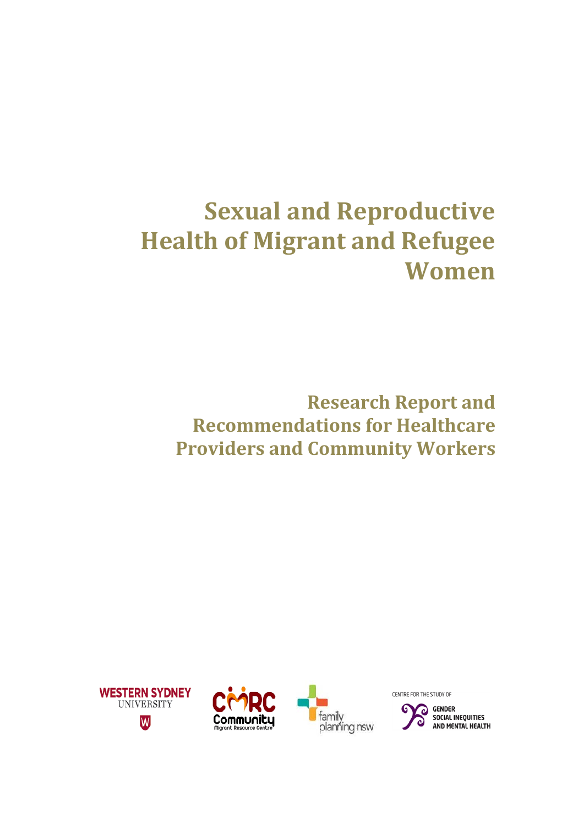# **Sexual and Reproductive Health of Migrant and Refugee Women**

**Research Report and Recommendations for Healthcare Providers and Community Workers**







CENTRE FOR THE STUDY OF

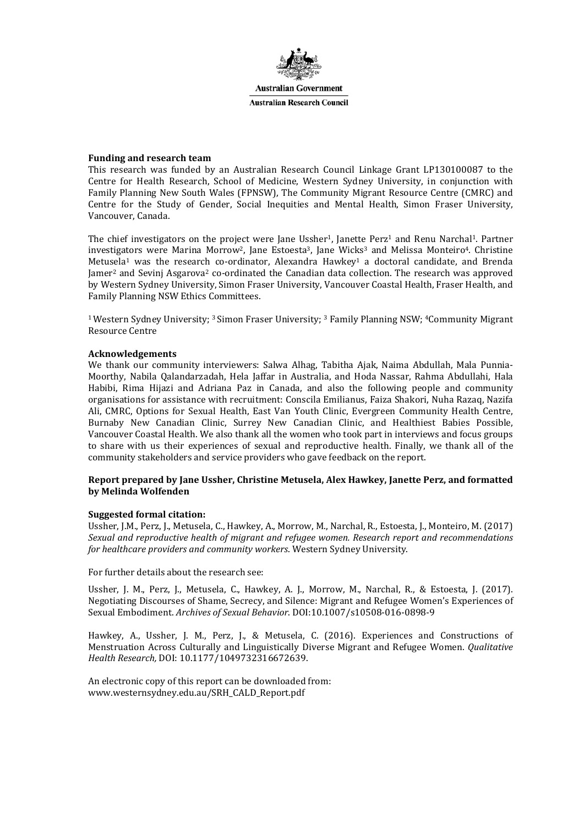

#### **Funding and research team**

This research was funded by an Australian Research Council Linkage Grant LP130100087 to the Centre for Health Research, School of Medicine, Western Sydney University, in conjunction with Family Planning New South Wales (FPNSW), The Community Migrant Resource Centre (CMRC) and Centre for the Study of Gender, Social Inequities and Mental Health, Simon Fraser University, Vancouver, Canada.

The chief investigators on the project were Jane Ussher<sup>1</sup>, Janette Perz<sup>1</sup> and Renu Narchal<sup>1</sup>. Partner investigators were Marina Morrow<sup>2</sup>, Jane Estoesta<sup>3</sup>, Jane Wicks<sup>3</sup> and Melissa Monteiro<sup>4</sup>. Christine Metusela<sup>1</sup> was the research co-ordinator, Alexandra Hawkey<sup>1</sup> a doctoral candidate, and Brenda Jamer2 and Sevinj Asgarova2 co-ordinated the Canadian data collection. The research was approved by Western Sydney University, Simon Fraser University, Vancouver Coastal Health, Fraser Health, and Family Planning NSW Ethics Committees.

<sup>1</sup> Western Sydney University; <sup>3</sup> Simon Fraser University; <sup>3</sup> Family Planning NSW; <sup>4</sup>Community Migrant Resource Centre

#### **Acknowledgements**

We thank our community interviewers: Salwa Alhag, Tabitha Ajak, Naima Abdullah, Mala Punnia-Moorthy, Nabila Qalandarzadah, Hela Jaffar in Australia, and Hoda Nassar, Rahma Abdullahi, Hala Habibi, Rima Hijazi and Adriana Paz in Canada, and also the following people and community organisations for assistance with recruitment: Conscila Emilianus, Faiza Shakori, Nuha Razaq, Nazifa Ali, CMRC, Options for Sexual Health, East Van Youth Clinic, Evergreen Community Health Centre, Burnaby New Canadian Clinic, Surrey New Canadian Clinic, and Healthiest Babies Possible, Vancouver Coastal Health. We also thank all the women who took part in interviews and focus groups to share with us their experiences of sexual and reproductive health. Finally, we thank all of the community stakeholders and service providers who gave feedback on the report.

#### **Report prepared by Jane Ussher, Christine Metusela, Alex Hawkey, Janette Perz, and formatted by Melinda Wolfenden**

#### **Suggested formal citation:**

Ussher, J.M., Perz, J., Metusela, C., Hawkey, A., Morrow, M., Narchal, R., Estoesta, J., Monteiro, M. (2017) *Sexual and reproductive health of migrant and refugee women. Research report and recommendations for healthcare providers and community workers*. Western Sydney University.

For further details about the research see:

Ussher, J. M., Perz, J., Metusela, C., Hawkey, A. J., Morrow, M., Narchal, R., & Estoesta, J. (2017). Negotiating Discourses of Shame, Secrecy, and Silence: Migrant and Refugee Women's Experiences of Sexual Embodiment. *Archives of Sexual Behavior*. DOI:10.1007/s10508-016-0898-9

Hawkey, A., Ussher, J. M., Perz, J., & Metusela, C. (2016). Experiences and Constructions of Menstruation Across Culturally and Linguistically Diverse Migrant and Refugee Women. *Qualitative Health Research,* DOI: 10.1177/1049732316672639.

An electronic copy of this report can be downloaded from: www.westernsydney.edu.au/SRH\_CALD\_Report.pdf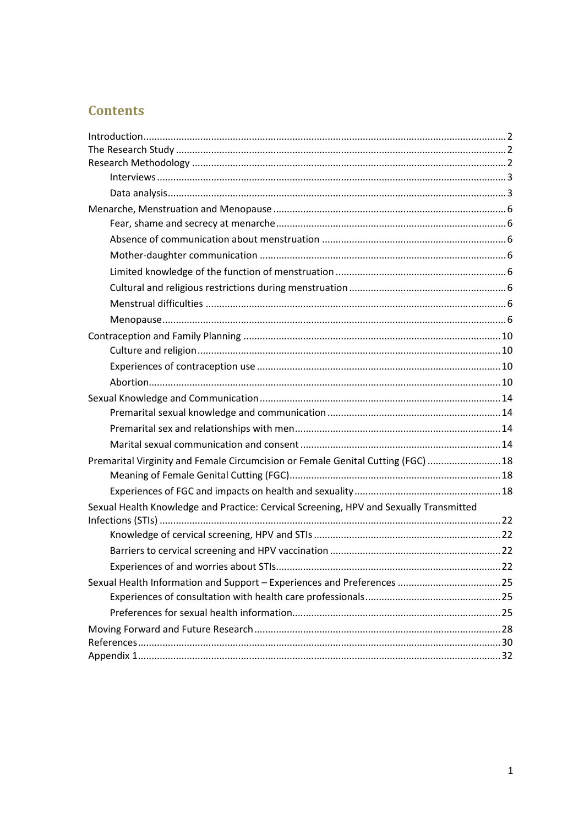# **Contents**

| Premarital Virginity and Female Circumcision or Female Genital Cutting (FGC)  18       |  |
|----------------------------------------------------------------------------------------|--|
|                                                                                        |  |
|                                                                                        |  |
| Sexual Health Knowledge and Practice: Cervical Screening, HPV and Sexually Transmitted |  |
|                                                                                        |  |
|                                                                                        |  |
|                                                                                        |  |
|                                                                                        |  |
|                                                                                        |  |
|                                                                                        |  |
|                                                                                        |  |
|                                                                                        |  |
|                                                                                        |  |
|                                                                                        |  |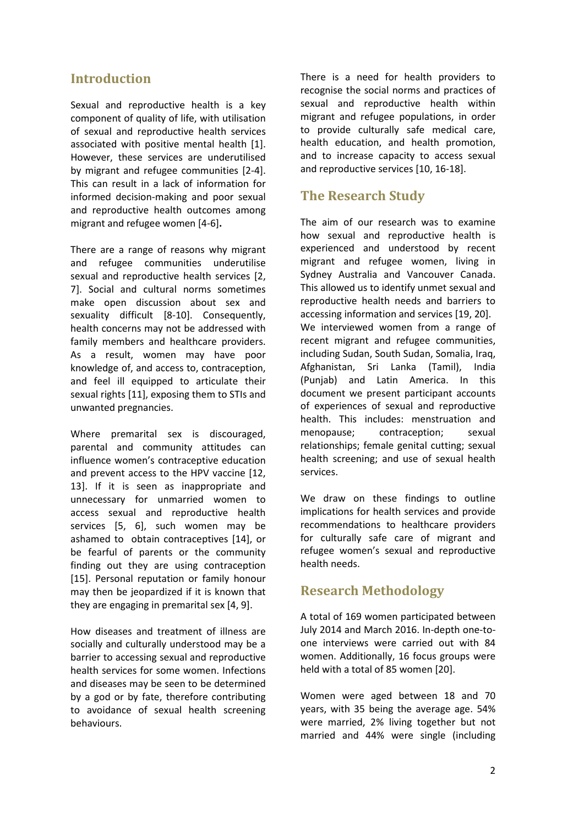# <span id="page-3-0"></span>**Introduction**

Sexual and reproductive health is a key component of quality of life, with utilisation of sexual and reproductive health services associated with positive mental health [1]. However, these services are underutilised by migrant and refugee communities [2-4]. This can result in a lack of information for informed decision-making and poor sexual and reproductive health outcomes among migrant and refugee women [4-6]**.**

There are a range of reasons why migrant and refugee communities underutilise sexual and reproductive health services [2, 7]. Social and cultural norms sometimes make open discussion about sex and sexuality difficult [8-10]. Consequently, health concerns may not be addressed with family members and healthcare providers. As a result, women may have poor knowledge of, and access to, contraception, and feel ill equipped to articulate their sexual rights [11], exposing them to STIs and unwanted pregnancies.

Where premarital sex is discouraged, parental and community attitudes can influence women's contraceptive education and prevent access to the HPV vaccine [12, 13]. If it is seen as inappropriate and unnecessary for unmarried women to access sexual and reproductive health services [5, 6], such women may be ashamed to obtain contraceptives [14], or be fearful of parents or the community finding out they are using contraception [15]. Personal reputation or family honour may then be jeopardized if it is known that they are engaging in premarital sex [4, 9].

How diseases and treatment of illness are socially and culturally understood may be a barrier to accessing sexual and reproductive health services for some women. Infections and diseases may be seen to be determined by a god or by fate, therefore contributing to avoidance of sexual health screening behaviours.

There is a need for health providers to recognise the social norms and practices of sexual and reproductive health within migrant and refugee populations, in order to provide culturally safe medical care, health education, and health promotion, and to increase capacity to access sexual and reproductive services [10, 16-18].

# <span id="page-3-1"></span>**The Research Study**

The aim of our research was to examine how sexual and reproductive health is experienced and understood by recent migrant and refugee women, living in Sydney Australia and Vancouver Canada. This allowed us to identify unmet sexual and reproductive health needs and barriers to accessing information and services [19, 20]. We interviewed women from a range of recent migrant and refugee communities, including Sudan, South Sudan, Somalia, Iraq, Afghanistan, Sri Lanka (Tamil), India (Punjab) and Latin America. In this document we present participant accounts of experiences of sexual and reproductive health. This includes: menstruation and menopause; contraception; sexual relationships; female genital cutting; sexual health screening; and use of sexual health services.

We draw on these findings to outline implications for health services and provide recommendations to healthcare providers for culturally safe care of migrant and refugee women's sexual and reproductive health needs.

### <span id="page-3-2"></span>**Research Methodology**

A total of 169 women participated between July 2014 and March 2016. In-depth one-toone interviews were carried out with 84 women. Additionally, 16 focus groups were held with a total of 85 women [20].

Women were aged between 18 and 70 years, with 35 being the average age. 54% were married, 2% living together but not married and 44% were single (including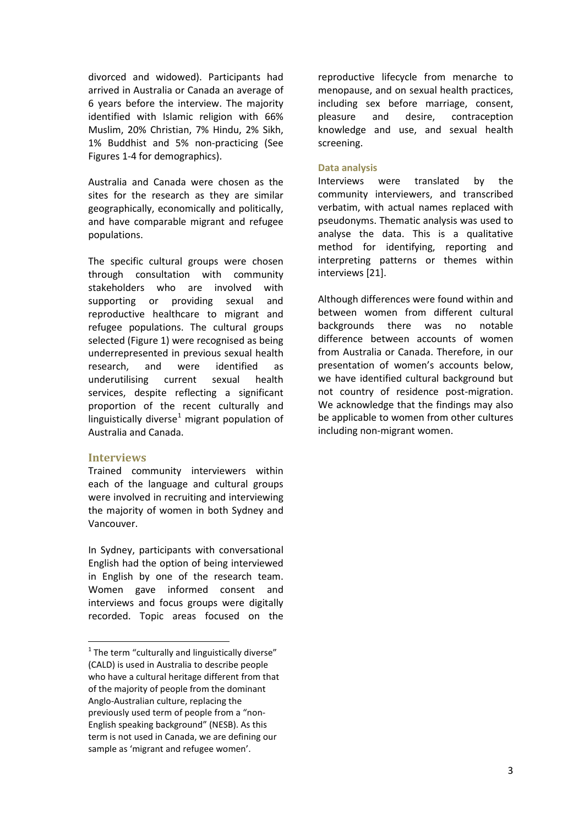divorced and widowed). Participants had arrived in Australia or Canada an average of 6 years before the interview. The majority identified with Islamic religion with 66% Muslim, 20% Christian, 7% Hindu, 2% Sikh, 1% Buddhist and 5% non-practicing (See Figures 1-4 for demographics).

Australia and Canada were chosen as the sites for the research as they are similar geographically, economically and politically, and have comparable migrant and refugee populations.

The specific cultural groups were chosen through consultation with community stakeholders who are involved with supporting or providing sexual and reproductive healthcare to migrant and refugee populations. The cultural groups selected (Figure 1) were recognised as being underrepresented in previous sexual health research, and were identified as underutilising current sexual health services, despite reflecting a significant proportion of the recent culturally and linguistically diverse<sup>[1](#page-4-2)</sup> migrant population of Australia and Canada.

### <span id="page-4-0"></span>**Interviews**

Trained community interviewers within each of the language and cultural groups were involved in recruiting and interviewing the majority of women in both Sydney and Vancouver.

In Sydney, participants with conversational English had the option of being interviewed in English by one of the research team. Women gave informed consent and interviews and focus groups were digitally recorded. Topic areas focused on the reproductive lifecycle from menarche to menopause, and on sexual health practices, including sex before marriage, consent, pleasure and desire, contraception knowledge and use, and sexual health screening.

### <span id="page-4-1"></span>**Data analysis**

Interviews were translated by the community interviewers, and transcribed verbatim, with actual names replaced with pseudonyms. Thematic analysis was used to analyse the data. This is a qualitative method for identifying, reporting and interpreting patterns or themes within interviews [21].

Although differences were found within and between women from different cultural backgrounds there was no notable difference between accounts of women from Australia or Canada. Therefore, in our presentation of women's accounts below, we have identified cultural background but not country of residence post-migration. We acknowledge that the findings may also be applicable to women from other cultures including non-migrant women.

<span id="page-4-2"></span> $1$ <sup>1</sup> The term "culturally and linguistically diverse" (CALD) is used in Australia to describe people who have a cultural heritage different from that of the majority of people from the dominant Anglo-Australian culture, replacing the previously used term of people from a "non-English speaking background" (NESB). As this term is not used in Canada, we are defining our sample as 'migrant and refugee women'.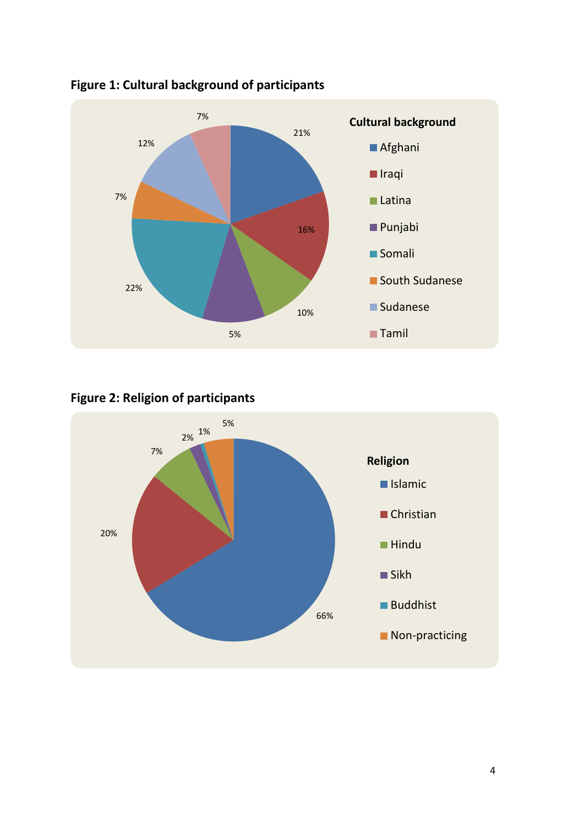

# **Figure 1: Cultural background of participants**

# **Figure 2: Religion of participants**

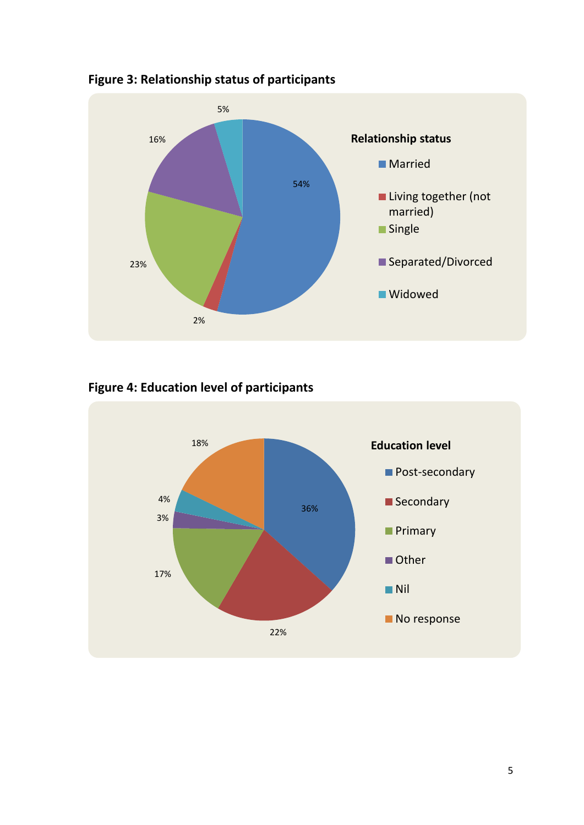

**Figure 3: Relationship status of participants**

**Figure 4: Education level of participants**

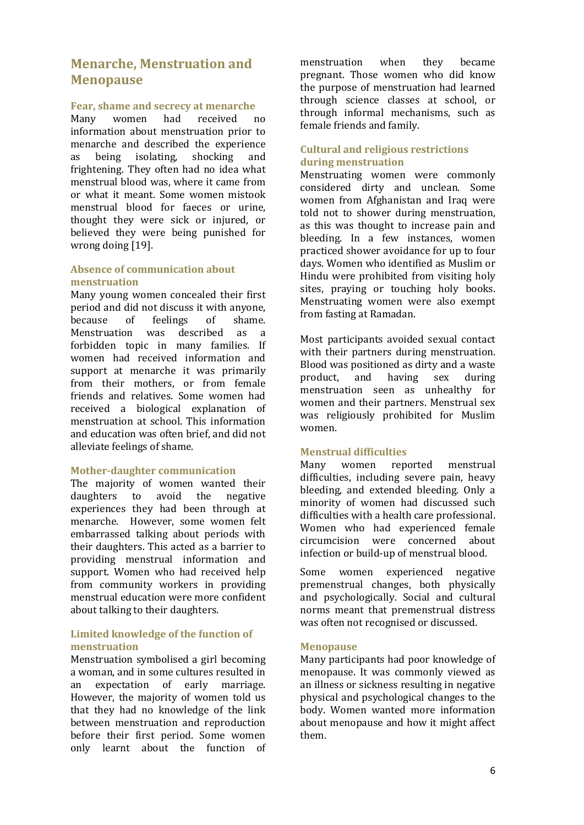# <span id="page-7-0"></span>**Menarche, Menstruation and Menopause**

### <span id="page-7-1"></span>**Fear, shame and secrecy at menarche**

Many women had received no information about menstruation prior to menarche and described the experience<br>as being isolating, shocking and as being isolating, shocking and frightening. They often had no idea what menstrual blood was, where it came from or what it meant. Some women mistook menstrual blood for faeces or urine, thought they were sick or injured, or believed they were being punished for wrong doing [19].

### <span id="page-7-2"></span>**Absence of communication about menstruation**

Many young women concealed their first period and did not discuss it with anyone,<br>because of feelings of shame. feelings of shame.<br>was described as a Menstruation forbidden topic in many families. If women had received information and support at menarche it was primarily from their mothers, or from female friends and relatives. Some women had received a biological explanation of menstruation at school. This information and education was often brief, and did not alleviate feelings of shame.

### <span id="page-7-3"></span>**Mother-daughter communication**

The majority of women wanted their<br>daughters to avoid the negative avoid the experiences they had been through at menarche. However, some women felt embarrassed talking about periods with their daughters. This acted as a barrier to providing menstrual information and support. Women who had received help from community workers in providing menstrual education were more confident about talking to their daughters.

### <span id="page-7-4"></span>**Limited knowledge of the function of menstruation**

Menstruation symbolised a girl becoming a woman, and in some cultures resulted in<br>an expectation of early marriage. expectation of early marriage. However, the majority of women told us that they had no knowledge of the link between menstruation and reproduction before their first period. Some women only learnt about the function of menstruation when they became pregnant. Those women who did know the purpose of menstruation had learned through science classes at school, or through informal mechanisms, such as female friends and family.

### <span id="page-7-5"></span>**Cultural and religious restrictions during menstruation**

Menstruating women were commonly considered dirty and unclean. Some women from Afghanistan and Iraq were told not to shower during menstruation, as this was thought to increase pain and bleeding. In a few instances, women practiced shower avoidance for up to four days. Women who identified as Muslim or Hindu were prohibited from visiting holy sites, praying or touching holy books. Menstruating women were also exempt from fasting at Ramadan.

Most participants avoided sexual contact with their partners during menstruation. Blood was positioned as dirty and a waste<br>product. and having sex during product, and having sex during menstruation seen as unhealthy for women and their partners. Menstrual sex was religiously prohibited for Muslim women.

### <span id="page-7-6"></span>**Menstrual difficulties**

Many women reported menstrual difficulties, including severe pain, heavy bleeding, and extended bleeding. Only a minority of women had discussed such difficulties with a health care professional. Women who had experienced female circumcision were concerned about infection or build-up of menstrual blood.

Some women experienced negative premenstrual changes, both physically and psychologically. Social and cultural norms meant that premenstrual distress was often not recognised or discussed.

### <span id="page-7-7"></span>**Menopause**

Many participants had poor knowledge of menopause. It was commonly viewed as an illness or sickness resulting in negative physical and psychological changes to the body. Women wanted more information about menopause and how it might affect them.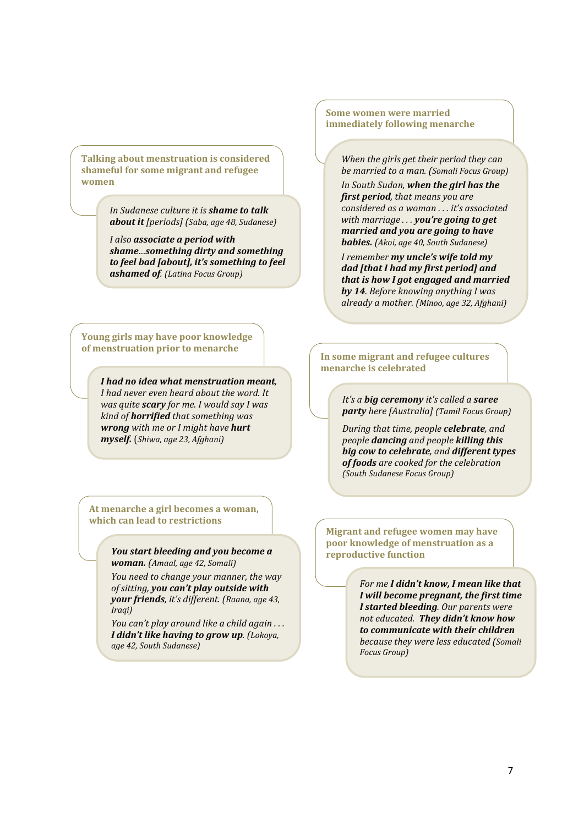**Talking about menstruation is considered shameful for some migrant and refugee women**

> *In Sudanese culture it is shame to talk about it [periods] (Saba, age 48, Sudanese)*

*I also associate a period with shame…something dirty and something to feel bad [about], it's something to feel ashamed of. (Latina Focus Group)*

**Young girls may have poor knowledge of menstruation prior to menarche**

> *I had no idea what menstruation meant, I had never even heard about the word. It was quite scary for me. I would say I was kind of horrified that something was wrong with me or I might have hurt myself.* (*Shiwa, age 23, Afghani)*

**At menarche a girl becomes a woman, which can lead to restrictions**

> *You start bleeding and you become a woman. (Amaal, age 42, Somali)*

*You need to change your manner, the way of sitting, you can't play outside with your friends, it's different. (Raana, age 43, Iraqi)*

*You can't play around like a child again . . . I didn't like having to grow up. (Lokoya, age 42, South Sudanese)*

**Some women were married immediately following menarche**

> *When the girls get their period they can be married to a man. (Somali Focus Group)*

> *In South Sudan, when the girl has the first period, that means you are considered as a woman . . . it's associated with marriage . . . you're going to get married and you are going to have babies. (Akoi, age 40, South Sudanese)*

*I remember my uncle's wife told my dad [that I had my first period] and that is how I got engaged and married by 14. Before knowing anything I was already a mother. (Minoo, age 32, Afghani)*

### **In some migrant and refugee cultures menarche is celebrated**

*It's a big ceremony it's called a saree party here [Australia] (Tamil Focus Group)*

*During that time, people celebrate, and people dancing and people killing this big cow to celebrate, and different types of foods are cooked for the celebration (South Sudanese Focus Group)*

**Migrant and refugee women may have poor knowledge of menstruation as a reproductive function** 

> *For me I didn't know, I mean like that I will become pregnant, the first time I started bleeding. Our parents were not educated. They didn't know how to communicate with their children because they were less educated (Somali Focus Group)*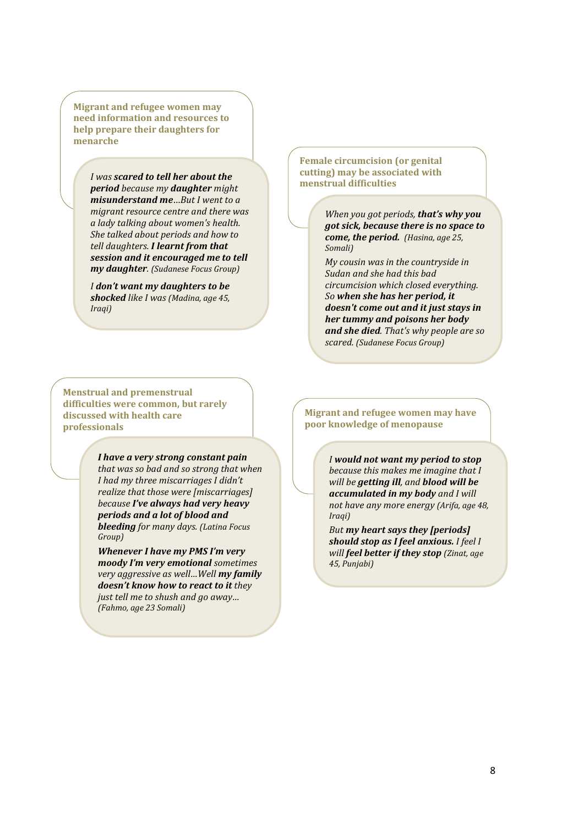**Migrant and refugee women may need information and resources to help prepare their daughters for menarche**

> *I was scared to tell her about the period because my daughter might misunderstand me*…*But I went to a migrant resource centre and there was a lady talking about women's health. She talked about periods and how to tell daughters. I learnt from that session and it encouraged me to tell my daughter. (Sudanese Focus Group)*

*I don't want my daughters to be shocked like I was (Madina, age 45, Iraqi)*

**Menstrual and premenstrual difficulties were common, but rarely discussed with health care professionals**

> *I have a very strong constant pain that was so bad and so strong that when I had my three miscarriages I didn't realize that those were [miscarriages] because I've always had very heavy periods and a lot of blood and bleeding for many days. (Latina Focus Group)*

> *Whenever I have my PMS I'm very moody I'm very emotional sometimes very aggressive as well…Well my family doesn't know how to react to it they just tell me to shush and go away… (Fahmo, age 23 Somali)*

**Female circumcision (or genital cutting) may be associated with menstrual difficulties**

> *When you got periods, that's why you got sick, because there is no space to come, the period. (Hasina, age 25, Somali)*

> *My cousin was in the countryside in Sudan and she had this bad circumcision which closed everything. So when she has her period, it doesn't come out and it just stays in her tummy and poisons her body and she died. That's why people are so scared. (Sudanese Focus Group)*

#### **Migrant and refugee women may have poor knowledge of menopause**

*I would not want my period to stop because this makes me imagine that I will be getting ill, and blood will be accumulated in my body and I will not have any more energy (Arifa, age 48, Iraqi)*

*But my heart says they [periods] should stop as I feel anxious. I feel I will feel better if they stop (Zinat, age 45, Punjabi)*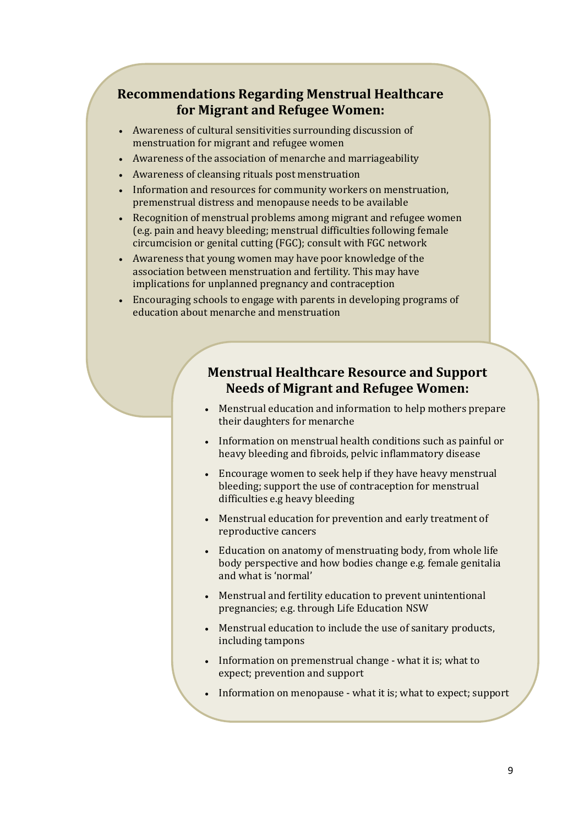# **Recommendations Regarding Menstrual Healthcare for Migrant and Refugee Women:**

- Awareness of cultural sensitivities surrounding discussion of menstruation for migrant and refugee women
- Awareness of the association of menarche and marriageability
- Awareness of cleansing rituals post menstruation
- Information and resources for community workers on menstruation, premenstrual distress and menopause needs to be available
- Recognition of menstrual problems among migrant and refugee women (e.g. pain and heavy bleeding; menstrual difficulties following female circumcision or genital cutting (FGC); consult with FGC network
- Awareness that young women may have poor knowledge of the association between menstruation and fertility. This may have implications for unplanned pregnancy and contraception
- Encouraging schools to engage with parents in developing programs of education about menarche and menstruation

# **Menstrual Healthcare Resource and Support Needs of Migrant and Refugee Women:**

- Menstrual education and information to help mothers prepare their daughters for menarche
- Information on menstrual health conditions such as painful or heavy bleeding and fibroids, pelvic inflammatory disease
- Encourage women to seek help if they have heavy menstrual bleeding; support the use of contraception for menstrual difficulties e.g heavy bleeding
- Menstrual education for prevention and early treatment of reproductive cancers
- Education on anatomy of menstruating body, from whole life body perspective and how bodies change e.g. female genitalia and what is 'normal'
- Menstrual and fertility education to prevent unintentional pregnancies; e.g. through Life Education NSW
- Menstrual education to include the use of sanitary products, including tampons
- Information on premenstrual change what it is; what to expect; prevention and support
- Information on menopause what it is; what to expect; support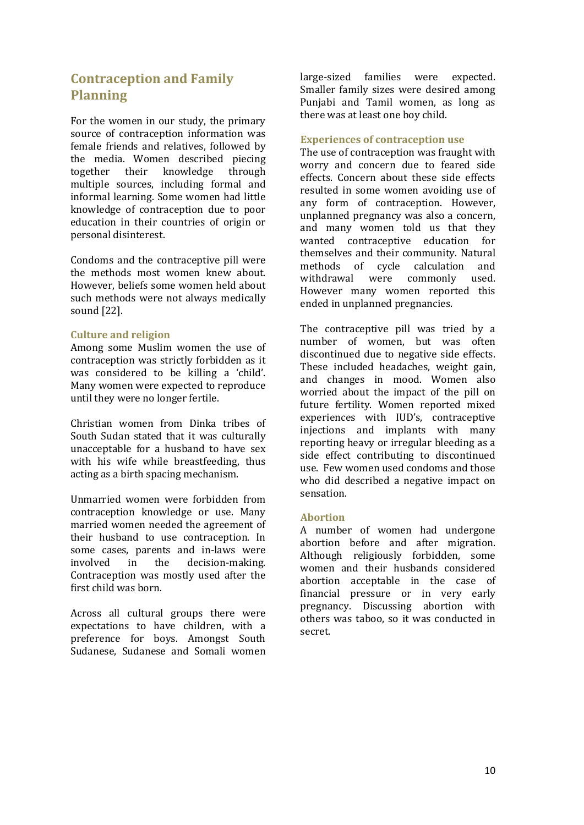# <span id="page-11-0"></span>**Contraception and Family Planning**

For the women in our study, the primary source of contraception information was female friends and relatives, followed by the media. Women described piecing<br>together their knowledge through knowledge multiple sources, including formal and informal learning. Some women had little knowledge of contraception due to poor education in their countries of origin or personal disinterest.

Condoms and the contraceptive pill were the methods most women knew about. However, beliefs some women held about such methods were not always medically sound [22].

### <span id="page-11-1"></span>**Culture and religion**

Among some Muslim women the use of contraception was strictly forbidden as it was considered to be killing a 'child'. Many women were expected to reproduce until they were no longer fertile.

Christian women from Dinka tribes of South Sudan stated that it was culturally unacceptable for a husband to have sex with his wife while breastfeeding, thus acting as a birth spacing mechanism.

Unmarried women were forbidden from contraception knowledge or use. Many married women needed the agreement of their husband to use contraception. In some cases, parents and in-laws were<br>involved in the decision-making. decision-making. Contraception was mostly used after the first child was born.

Across all cultural groups there were expectations to have children, with a preference for boys. Amongst South Sudanese, Sudanese and Somali women large-sized families were expected. Smaller family sizes were desired among Punjabi and Tamil women, as long as there was at least one boy child.

### <span id="page-11-2"></span>**Experiences of contraception use**

The use of contraception was fraught with worry and concern due to feared side effects. Concern about these side effects resulted in some women avoiding use of any form of contraception. However, unplanned pregnancy was also a concern, and many women told us that they<br>wanted contracentive education for wanted contraceptive education themselves and their community. Natural<br>methods of cycle calculation and methods of cycle calculation and<br>withdrawal were commonly used were commonly However many women reported this ended in unplanned pregnancies.

The contraceptive pill was tried by a number of women, but was often discontinued due to negative side effects. These included headaches, weight gain, and changes in mood. Women also worried about the impact of the pill on future fertility. Women reported mixed experiences with IUD's, contraceptive injections and implants with many reporting heavy or irregular bleeding as a side effect contributing to discontinued use. Few women used condoms and those who did described a negative impact on sensation.

### <span id="page-11-3"></span>**Abortion**

A number of women had undergone abortion before and after migration. Although religiously forbidden, some women and their husbands considered abortion acceptable in the case of financial pressure or in very early pregnancy. Discussing abortion with others was taboo, so it was conducted in secret.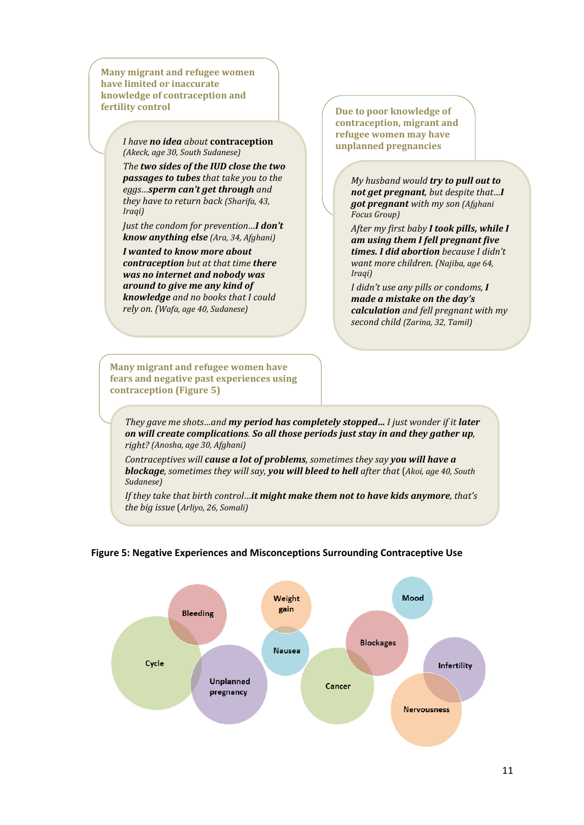**Many migrant and refugee women have limited or inaccurate knowledge of contraception and fertility control** 

#### *I have no idea about* **contraception** *(Akeck, age 30, South Sudanese)*

*The two sides of the IUD close the two passages to tubes that take you to the eggs…sperm can't get through and they have to return back (Sharifa, 43, Iraqi)*

*Just the condom for prevention…I don't know anything else (Ara, 34, Afghani)*

*I wanted to know more about contraception but at that time there was no internet and nobody was around to give me any kind of knowledge and no books that I could rely on. (Wafa, age 40, Sudanese)*

**Due to poor knowledge of contraception, migrant and refugee women may have unplanned pregnancies**

> *My husband would try to pull out to not get pregnant, but despite that…I got pregnant with my son (Afghani Focus Group)*

*After my first baby I took pills, while I am using them I fell pregnant five times. I did abortion because I didn't want more children. (Najiba, age 64, Iraqi)*

*I didn't use any pills or condoms, I made a mistake on the day's calculation and fell pregnant with my second child (Zarina, 32, Tamil)*

**Many migrant and refugee women have fears and negative past experiences using contraception (Figure 5)**

*They gave me shots…and my period has completely stopped… I just wonder if it later on will create complications. So all those periods just stay in and they gather up, right? (Anosha, age 30, Afghani)*

*Contraceptives will cause a lot of problems, sometimes they say you will have a blockage, sometimes they will say, you will bleed to hell after that* (*Akoi, age 40, South Sudanese)*

*If they take that birth control…it might make them not to have kids anymore, that's the big issue* (*Arliyo, 26, Somali)*

### **Figure 5: Negative Experiences and Misconceptions Surrounding Contraceptive Use**

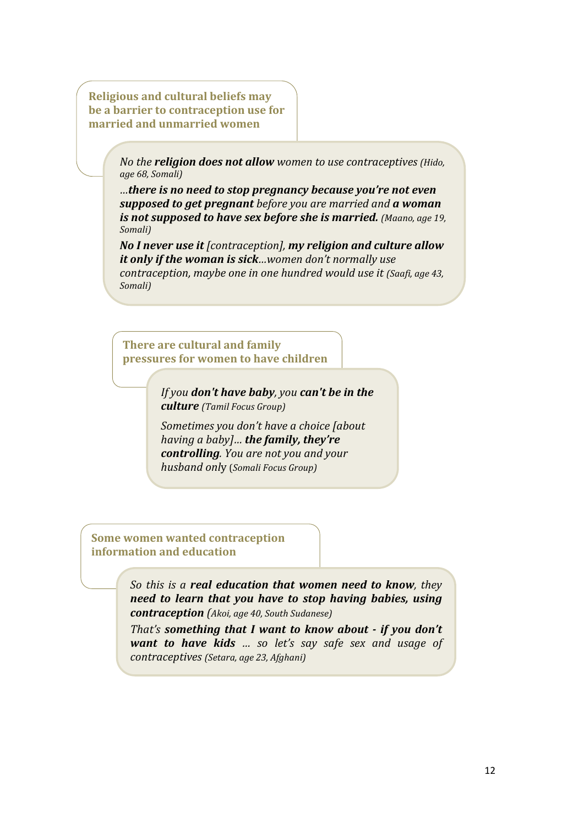**Religious and cultural beliefs may be a barrier to contraception use for married and unmarried women**

> *No the religion does not allow women to use contraceptives (Hido, age 68, Somali)*

> *…there is no need to stop pregnancy because you're not even supposed to get pregnant before you are married and a woman is not supposed to have sex before she is married. (Maano, age 19, Somali)*

> *No I never use it [contraception], my religion and culture allow it only if the woman is sick…women don't normally use contraception, maybe one in one hundred would use it (Saafi, age 43, Somali)*

**There are cultural and family pressures for women to have children**

> *If you don't have baby, you can't be in the culture (Tamil Focus Group)*

*Sometimes you don't have a choice [about having a baby]… the family, they're controlling. You are not you and your husband onl*y (*Somali Focus Group)*

**Some women wanted contraception information and education**

> *So this is a real education that women need to know, they need to learn that you have to stop having babies, using contraception (Akoi, age 40, South Sudanese)*

> *That's something that I want to know about - if you don't want to have kids … so let's say safe sex and usage of contraceptives (Setara, age 23, Afghani)*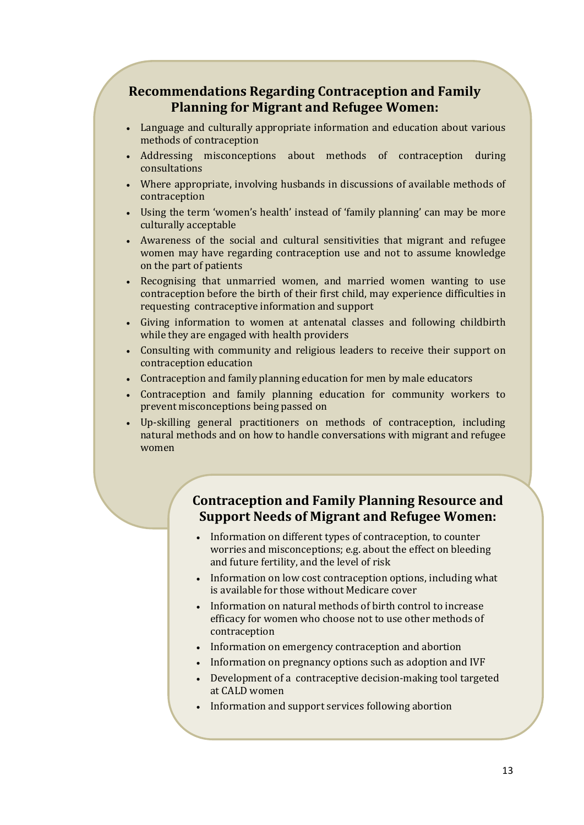# **Recommendations Regarding Contraception and Family Planning for Migrant and Refugee Women:**

- Language and culturally appropriate information and education about various methods of contraception
- Addressing misconceptions about methods of contraception during consultations
- Where appropriate, involving husbands in discussions of available methods of contraception
- Using the term 'women's health' instead of 'family planning' can may be more culturally acceptable
- Awareness of the social and cultural sensitivities that migrant and refugee women may have regarding contraception use and not to assume knowledge on the part of patients
- Recognising that unmarried women, and married women wanting to use contraception before the birth of their first child, may experience difficulties in requesting contraceptive information and support
- Giving information to women at antenatal classes and following childbirth while they are engaged with health providers
- Consulting with community and religious leaders to receive their support on contraception education
- Contraception and family planning education for men by male educators
- Contraception and family planning education for community workers to prevent misconceptions being passed on
- Up-skilling general practitioners on methods of contraception, including natural methods and on how to handle conversations with migrant and refugee women

# **Contraception and Family Planning Resource and Support Needs of Migrant and Refugee Women:**

- Information on different types of contraception, to counter worries and misconceptions; e.g. about the effect on bleeding and future fertility, and the level of risk
- Information on low cost contraception options, including what is available for those without Medicare cover
- Information on natural methods of birth control to increase efficacy for women who choose not to use other methods of contraception
- Information on emergency contraception and abortion
- Information on pregnancy options such as adoption and IVF
- Development of a contraceptive decision-making tool targeted at CALD women
- Information and support services following abortion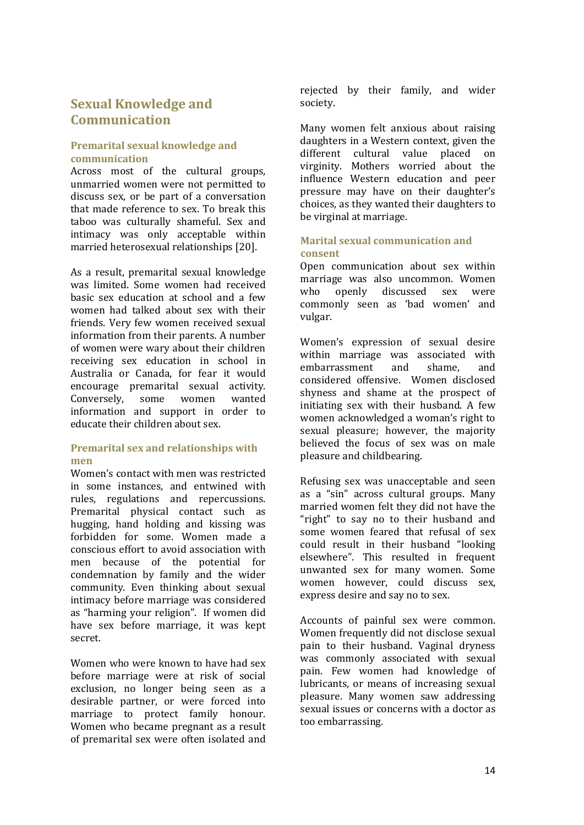# <span id="page-15-0"></span>**Sexual Knowledge and Communication**

### <span id="page-15-1"></span>**Premarital sexual knowledge and communication**

Across most of the cultural groups, unmarried women were not permitted to discuss sex, or be part of a conversation that made reference to sex. To break this taboo was culturally shameful. Sex and intimacy was only acceptable within married heterosexual relationships [20].

As a result, premarital sexual knowledge was limited. Some women had received basic sex education at school and a few women had talked about sex with their friends. Very few women received sexual information from their parents. A number of women were wary about their children receiving sex education in school in Australia or Canada, for fear it would encourage premarital sexual activity.<br>Converselv. some women wanted Conversely, some women wanted information and support in order to educate their children about sex.

### <span id="page-15-2"></span>**Premarital sex and relationships with men**

Women's contact with men was restricted in some instances, and entwined with rules, regulations and repercussions. Premarital physical contact such as hugging, hand holding and kissing was forbidden for some. Women made a conscious effort to avoid association with men because of the potential for condemnation by family and the wider community. Even thinking about sexual intimacy before marriage was considered as "harming your religion". If women did have sex before marriage, it was kept secret.

Women who were known to have had sex before marriage were at risk of social exclusion, no longer being seen as a desirable partner, or were forced into marriage to protect family honour. Women who became pregnant as a result of premarital sex were often isolated and rejected by their family, and wider society.

Many women felt anxious about raising daughters in a Western context, given the different cultural value placed on virginity. Mothers worried about the influence Western education and peer pressure may have on their daughter's choices, as they wanted their daughters to be virginal at marriage.

### <span id="page-15-3"></span>**Marital sexual communication and consent**

Open communication about sex within marriage was also uncommon. Women<br>who openly discussed sex were discussed sex were commonly seen as 'bad women' and vulgar.

Women's expression of sexual desire within marriage was associated with<br>embarrassment and shame, and embarrassment considered offensive. Women disclosed shyness and shame at the prospect of initiating sex with their husband. A few women acknowledged a woman's right to sexual pleasure; however, the majority believed the focus of sex was on male pleasure and childbearing.

Refusing sex was unacceptable and seen as a "sin" across cultural groups. Many married women felt they did not have the "right" to say no to their husband and some women feared that refusal of sex could result in their husband "looking elsewhere". This resulted in frequent unwanted sex for many women. Some women however, could discuss sex, express desire and say no to sex.

Accounts of painful sex were common. Women frequently did not disclose sexual pain to their husband. Vaginal dryness was commonly associated with sexual pain. Few women had knowledge of lubricants, or means of increasing sexual pleasure. Many women saw addressing sexual issues or concerns with a doctor as too embarrassing.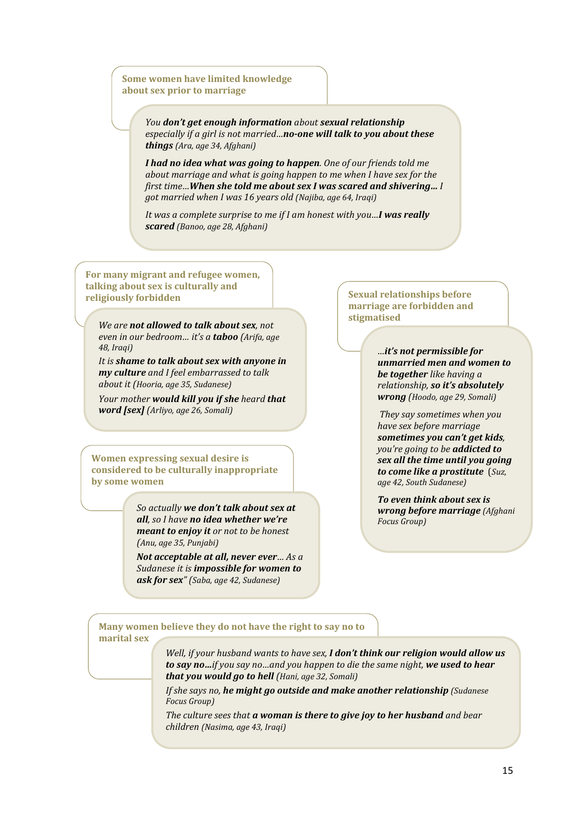### **Some women have limited knowledge about sex prior to marriage**

*You don't get enough information about sexual relationship especially if a girl is not married…no-one will talk to you about these things (Ara, age 34, Afghani)*

*I had no idea what was going to happen. One of our friends told me about marriage and what is going happen to me when I have sex for the first time…When she told me about sex I was scared and shivering… I got married when I was 16 years old (Najiba, age 64, Iraqi)*

*It was a complete surprise to me if I am honest with you…I was really scared (Banoo, age 28, Afghani)*

**For many migrant and refugee women, talking about sex is culturally and religiously forbidden** 

*We are not allowed to talk about sex, not even in our bedroom… it's a taboo (Arifa, age 48, Iraqi)*

*It is shame to talk about sex with anyone in my culture and I feel embarrassed to talk about it (Hooria, age 35, Sudanese)*

*Your mother would kill you if she heard that word [sex] (Arliyo, age 26, Somali)*

**Women expressing sexual desire is considered to be culturally inappropriate by some women**

> *So actually we don't talk about sex at all, so I have no idea whether we're meant to enjoy it or not to be honest (Anu, age 35, Punjabi)*

*Not acceptable at all, never ever… As a Sudanese it is impossible for women to ask for sex" (Saba, age 42, Sudanese)*

**Sexual relationships before marriage are forbidden and stigmatised** 

> *…it's not permissible for unmarried men and women to be together like having a relationship, so it's absolutely wrong (Hoodo, age 29, Somali)*

*They say sometimes when you have sex before marriage sometimes you can't get kids, you're going to be addicted to sex all the time until you going to come like a prostitute* (*Suz, age 42, South Sudanese)*

*To even think about sex is wrong before marriage (Afghani Focus Group)*

**Many women believe they do not have the right to say no to** 

**marital sex**

*Well, if your husband wants to have sex, I don't think our religion would allow us to say no…if you say no…and you happen to die the same night, we used to hear that you would go to hell (Hani, age 32, Somali)*

*If she says no, he might go outside and make another relationship (Sudanese Focus Group)*

*The culture sees that a woman is there to give joy to her husband and bear children (Nasima, age 43, Iraqi)*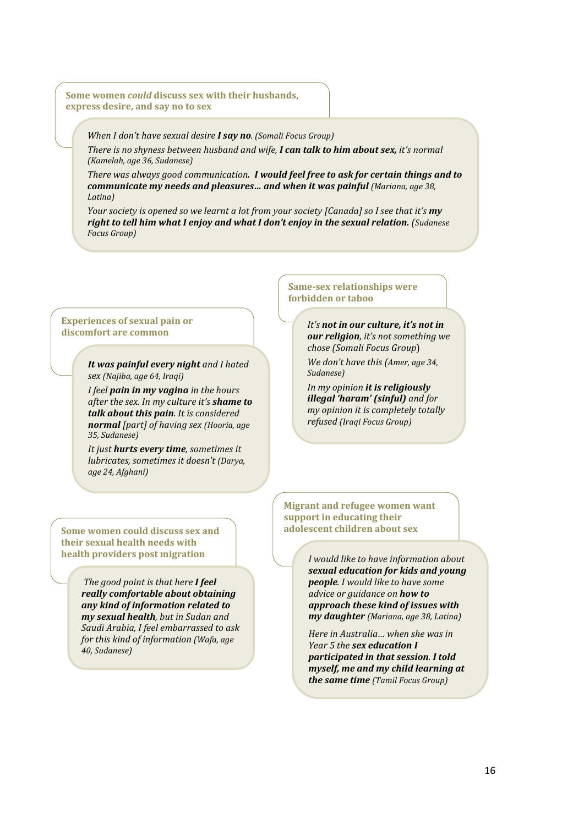**Some women** *could* **discuss sex with their husbands, express desire, and say no to sex**

*When I don't have sexual desire I say no. (Somali Focus Group)*

*There is no shyness between husband and wife, I can talk to him about sex, it's normal (Kamelah, age 36, Sudanese)*

*There was always good communication. I would feel free to ask for certain things and to*  **communicate my needs and pleasures... and when it was painful (Mariana, age 38,** *Latina)*

*Your society is opened so we learnt a lot from your society [Canada] so I see that it's my right to tell him what I enjoy and what I don't enjoy in the sexual relation. (Sudanese Focus Group)*

#### **Experiences of sexual pain or discomfort are common**

*It was painful every night and I hated sex (Najiba, age 64, Iraqi)*

*I feel pain in my vagina in the hours after the sex. In my culture it's shame to talk about this pain. It is considered normal [part] of having sex (Hooria, age 35, Sudanese)*

*It just hurts every time, sometimes it lubricates, sometimes it doesn't (Darya, age 24, Afghani)*

**Some women could discuss sex and their sexual health needs with health providers post migration**

> *The good point is that here I feel really comfortable about obtaining any kind of information related to my sexual health, but in Sudan and Saudi Arabia, I feel embarrassed to ask for this kind of information (Wafa, age 40, Sudanese)*

**Same-sex relationships were forbidden or taboo**

> *It's not in our culture, it's not in our religion, it's not something we chose (Somali Focus Group*)

*We don't have this (Amer, age 34, Sudanese)*

*In my opinion it is religiously illegal 'haram' (sinful) and for my opinion it is completely totally refused (Iraqi Focus Group)*

**Migrant and refugee women want support in educating their adolescent children about sex**

> *I would like to have information about sexual education for kids and young people. I would like to have some advice or guidance on how to approach these kind of issues with my daughter (Mariana, age 38, Latina)*

> *Here in Australia… when she was in Year 5 the sex education I participated in that session. I told myself, me and my child learning at the same time (Tamil Focus Group)*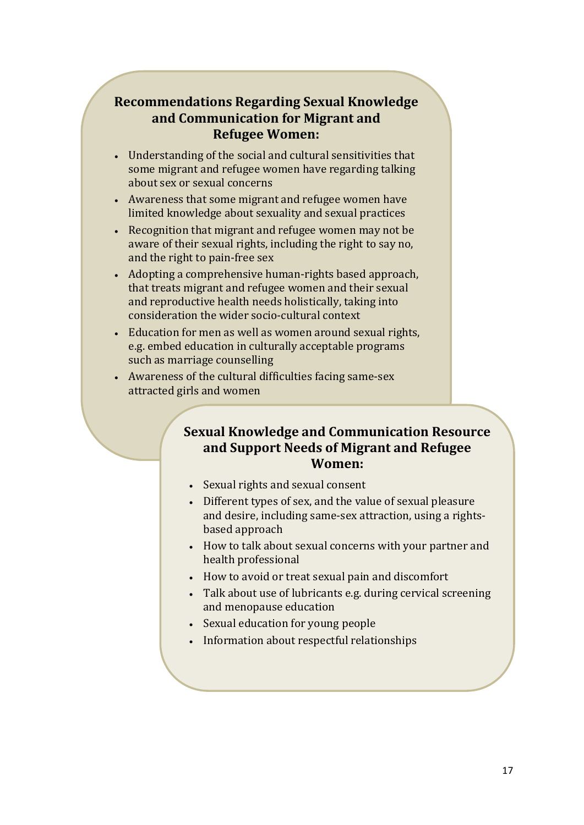# **Recommendations Regarding Sexual Knowledge and Communication for Migrant and Refugee Women:**

- Understanding of the social and cultural sensitivities that some migrant and refugee women have regarding talking about sex or sexual concerns
- Awareness that some migrant and refugee women have limited knowledge about sexuality and sexual practices
- Recognition that migrant and refugee women may not be aware of their sexual rights, including the right to say no, and the right to pain-free sex
- Adopting a comprehensive human-rights based approach, that treats migrant and refugee women and their sexual and reproductive health needs holistically, taking into consideration the wider socio-cultural context
- Education for men as well as women around sexual rights, e.g. embed education in culturally acceptable programs such as marriage counselling
- Awareness of the cultural difficulties facing same-sex attracted girls and women

# **Sexual Knowledge and Communication Resource and Support Needs of Migrant and Refugee Women:**

- Sexual rights and sexual consent
- Different types of sex, and the value of sexual pleasure and desire, including same-sex attraction, using a rightsbased approach
- How to talk about sexual concerns with your partner and health professional
- How to avoid or treat sexual pain and discomfort
- Talk about use of lubricants e.g. during cervical screening and menopause education
- Sexual education for young people
- Information about respectful relationships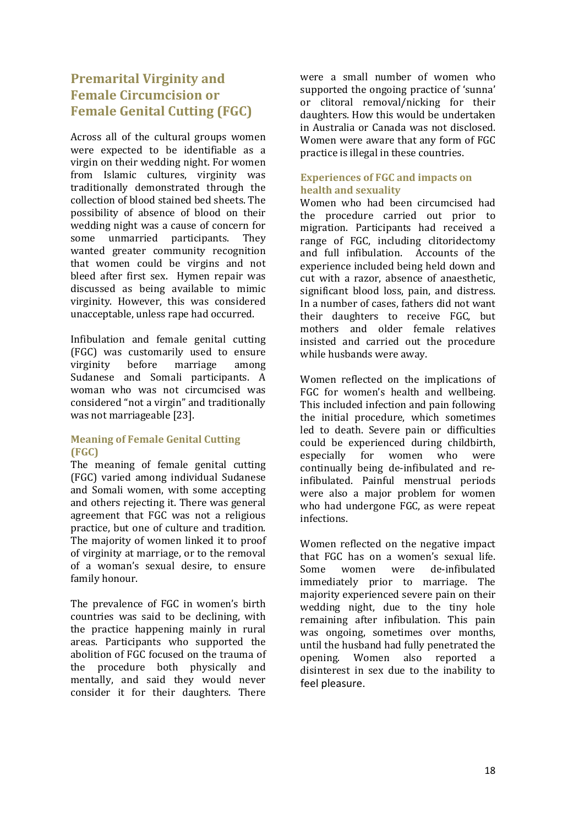# <span id="page-19-0"></span>**Premarital Virginity and Female Circumcision or Female Genital Cutting (FGC)**

Across all of the cultural groups women were expected to be identifiable as a virgin on their wedding night. For women from Islamic cultures, virginity was traditionally demonstrated through the collection of blood stained bed sheets. The possibility of absence of blood on their wedding night was a cause of concern for<br>some unmarried participants. They some unmarried participants. wanted greater community recognition that women could be virgins and not bleed after first sex. Hymen repair was discussed as being available to mimic virginity. However, this was considered unacceptable, unless rape had occurred.

Infibulation and female genital cutting (FGC) was customarily used to ensure<br>virginity before marriage among marriage Sudanese and Somali participants. A woman who was not circumcised was considered "not a virgin" and traditionally was not marriageable [23].

### <span id="page-19-1"></span>**Meaning of Female Genital Cutting (FGC)**

The meaning of female genital cutting (FGC) varied among individual Sudanese and Somali women, with some accepting and others rejecting it. There was general agreement that FGC was not a religious practice, but one of culture and tradition. The majority of women linked it to proof of virginity at marriage, or to the removal of a woman's sexual desire, to ensure family honour.

The prevalence of FGC in women's birth countries was said to be declining, with the practice happening mainly in rural areas. Participants who supported the abolition of FGC focused on the trauma of the procedure both physically and mentally, and said they would never consider it for their daughters. There

were a small number of women who supported the ongoing practice of 'sunna' or clitoral removal/nicking for their daughters. How this would be undertaken in Australia or Canada was not disclosed. Women were aware that any form of FGC practice is illegal in these countries.

### <span id="page-19-2"></span>**Experiences of FGC and impacts on health and sexuality**

Women who had been circumcised had the procedure carried out prior to migration. Participants had received a range of FGC, including clitoridectomy and full infibulation. Accounts of the experience included being held down and cut with a razor, absence of anaesthetic, significant blood loss, pain, and distress. In a number of cases, fathers did not want their daughters to receive FGC, but mothers and older female relatives insisted and carried out the procedure while husbands were away.

Women reflected on the implications of FGC for women's health and wellbeing. This included infection and pain following the initial procedure, which sometimes led to death. Severe pain or difficulties could be experienced during childbirth,<br>especially for women who were women who were continually being de-infibulated and reinfibulated. Painful menstrual periods were also a major problem for women who had undergone FGC, as were repeat infections.

Women reflected on the negative impact that FGC has on a women's sexual life.<br>Some women were de-infibulated de-infibulated immediately prior to marriage. The majority experienced severe pain on their wedding night, due to the tiny hole remaining after infibulation. This pain was ongoing, sometimes over months, until the husband had fully penetrated the<br>opening. Women also reported a opening. Women also reported disinterest in sex due to the inability to feel pleasure.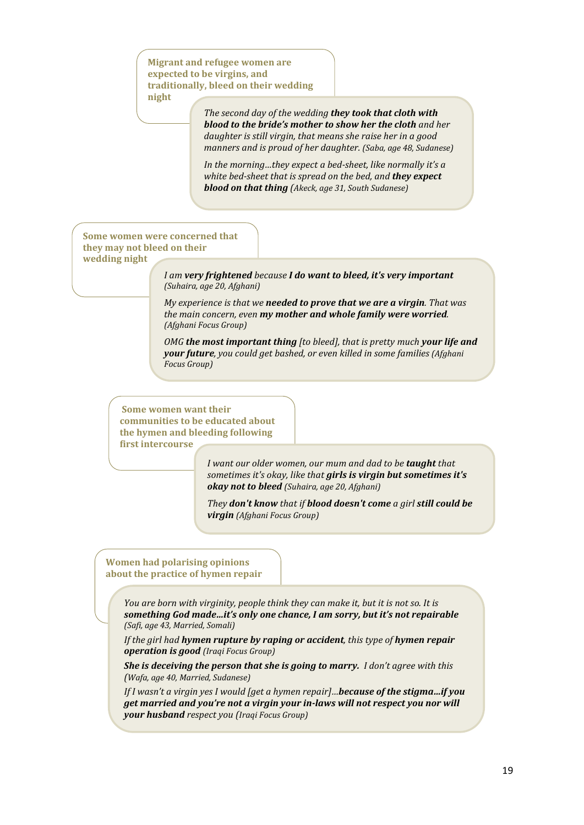**Migrant and refugee women are expected to be virgins, and traditionally, bleed on their wedding night**

> *The second day of the wedding they took that cloth with blood to the bride's mother to show her the cloth and her daughter is still virgin, that means she raise her in a good manners and is proud of her daughter. (Saba, age 48, Sudanese)*

*In the morning…they expect a bed-sheet, like normally it's a white bed-sheet that is spread on the bed, and they expect blood on that thing (Akeck, age 31, South Sudanese)*

**Some women were concerned that they may not bleed on their wedding night**

> *I am very frightened because I do want to bleed, it's very important (Suhaira, age 20, Afghani)*

*My experience is that we needed to prove that we are a virgin. That was the main concern, even my mother and whole family were worried. (Afghani Focus Group)*

*OMG the most important thing [to bleed], that is pretty much your life and your future, you could get bashed, or even killed in some families (Afghani Focus Group)*

**Some women want their communities to be educated about the hymen and bleeding following first intercourse**

> *I want our older women, our mum and dad to be taught that sometimes it's okay, like that girls is virgin but sometimes it's okay not to bleed (Suhaira, age 20, Afghani)*

*They don't know that if blood doesn't come a girl still could be virgin (Afghani Focus Group)*

### **Women had polarising opinions about the practice of hymen repair**

*You are born with virginity, people think they can make it, but it is not so. It is something God made…it's only one chance, I am sorry, but it's not repairable (Safi, age 43, Married, Somali)*

*If the girl had hymen rupture by raping or accident, this type of hymen repair operation is good (Iraqi Focus Group)*

*She is deceiving the person that she is going to marry. I don't agree with this (Wafa, age 40, Married, Sudanese)*

*If I wasn't a virgin yes I would [get a hymen repair]…because of the stigma…if you get married and you're not a virgin your in-laws will not respect you nor will your husband respect you (Iraqi Focus Group)*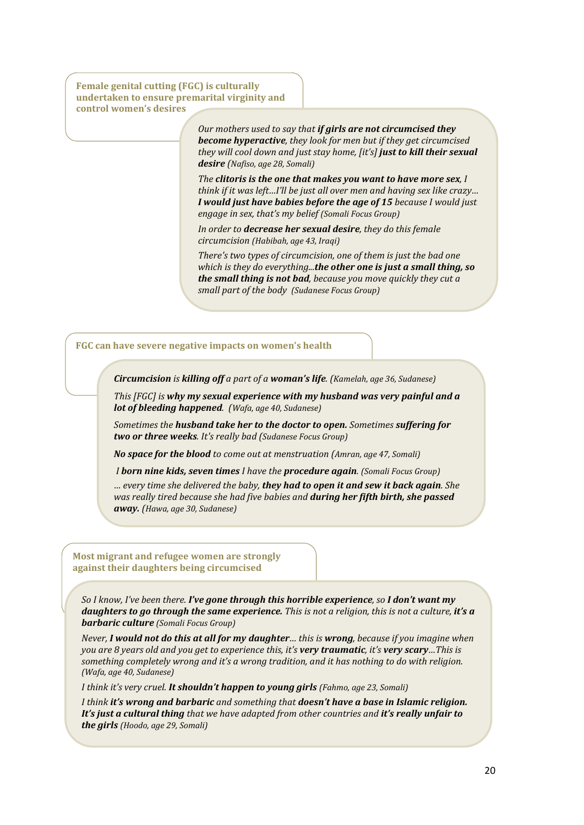**Female genital cutting (FGC) is culturally undertaken to ensure premarital virginity and control women's desires**

> *Our mothers used to say that if girls are not circumcised they become hyperactive, they look for men but if they get circumcised they will cool down and just stay home, [it's] just to kill their sexual desire (Nafiso, age 28, Somali)*

> *The clitoris is the one that makes you want to have more sex, I think if it was left…I'll be just all over men and having sex like crazy… I would just have babies before the age of 15 because I would just engage in sex, that's my belief (Somali Focus Group)*

*In order to decrease her sexual desire, they do this female circumcision (Habibah, age 43, Iraqi)*

*There's two types of circumcision, one of them is just the bad one which is they do everything...the other one is just a small thing, so the small thing is not bad, because you move quickly they cut a small part of the body (Sudanese Focus Group)*

#### **FGC can have severe negative impacts on women's health**

*Circumcision is killing off a part of a woman's life. (Kamelah, age 36, Sudanese)*

*This [FGC] is why my sexual experience with my husband was very painful and a lot of bleeding happened. (Wafa, age 40, Sudanese)*

*Sometimes the husband take her to the doctor to open. Sometimes suffering for two or three weeks. It's really bad (Sudanese Focus Group)*

*No space for the blood to come out at menstruation (Amran, age 47, Somali)*

*I born nine kids, seven times I have the procedure again. (Somali Focus Group)*

*… every time she delivered the baby, they had to open it and sew it back again. She was really tired because she had five babies and during her fifth birth, she passed away. (Hawa, age 30, Sudanese)*

**Most migrant and refugee women are strongly against their daughters being circumcised**

*So I know, I've been there. I've gone through this horrible experience, so I don't want my daughters to go through the same experience. This is not a religion, this is not a culture, it's a barbaric culture (Somali Focus Group)*

*Never, I would not do this at all for my daughter… this is wrong, because if you imagine when you are 8 years old and you get to experience this, it's very traumatic, it's very scary…This is something completely wrong and it's a wrong tradition, and it has nothing to do with religion. (Wafa, age 40, Sudanese)*

*I think it's very cruel. It shouldn't happen to young girls (Fahmo, age 23, Somali)*

*I think it's wrong and barbaric and something that doesn't have a base in Islamic religion. It's just a cultural thing that we have adapted from other countries and it's really unfair to the girls (Hoodo, age 29, Somali)*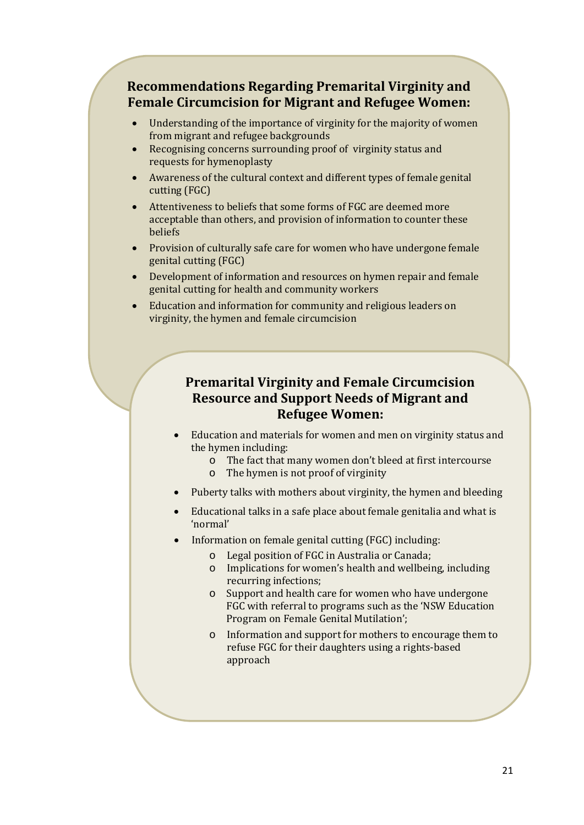# **Recommendations Regarding Premarital Virginity and Female Circumcision for Migrant and Refugee Women:**

- Understanding of the importance of virginity for the majority of women from migrant and refugee backgrounds
- Recognising concerns surrounding proof of virginity status and requests for hymenoplasty
- Awareness of the cultural context and different types of female genital cutting (FGC)
- Attentiveness to beliefs that some forms of FGC are deemed more acceptable than others, and provision of information to counter these beliefs
- Provision of culturally safe care for women who have undergone female genital cutting (FGC)
- Development of information and resources on hymen repair and female genital cutting for health and community workers
- Education and information for community and religious leaders on virginity, the hymen and female circumcision

# **Premarital Virginity and Female Circumcision Resource and Support Needs of Migrant and Refugee Women:**

- Education and materials for women and men on virginity status and the hymen including:
	- o The fact that many women don't bleed at first intercourse
	- o The hymen is not proof of virginity
- Puberty talks with mothers about virginity, the hymen and bleeding
- Educational talks in a safe place about female genitalia and what is 'normal'
- Information on female genital cutting (FGC) including:
	- o Legal position of FGC in Australia or Canada;
	- o Implications for women's health and wellbeing, including recurring infections;
	- o Support and health care for women who have undergone FGC with referral to programs such as the 'NSW Education Program on Female Genital Mutilation';
	- o Information and support for mothers to encourage them to refuse FGC for their daughters using a rights-based approach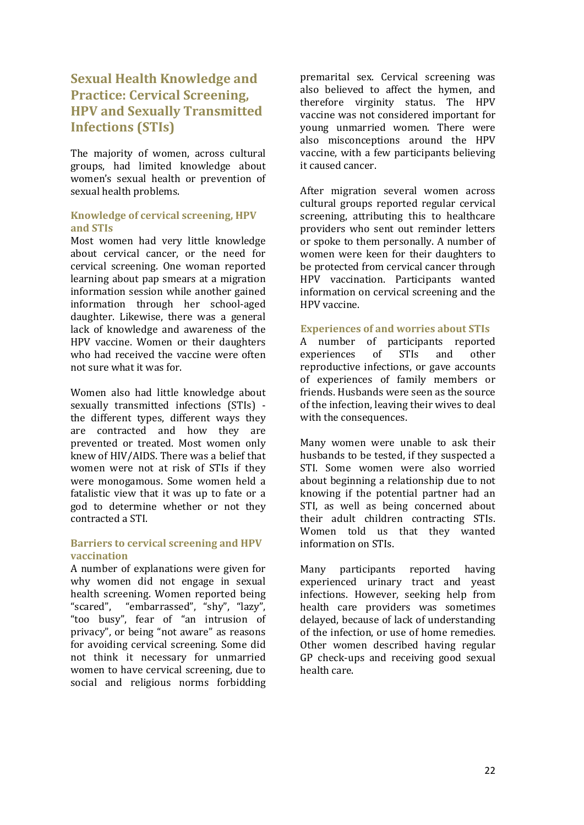# <span id="page-23-0"></span>**Sexual Health Knowledge and Practice: Cervical Screening, HPV and Sexually Transmitted Infections (STIs)**

The majority of women, across cultural groups, had limited knowledge about women's sexual health or prevention of sexual health problems.

### <span id="page-23-1"></span>**Knowledge of cervical screening, HPV and STIs**

Most women had very little knowledge about cervical cancer, or the need for cervical screening. One woman reported learning about pap smears at a migration information session while another gained information through her school-aged daughter. Likewise, there was a general lack of knowledge and awareness of the HPV vaccine. Women or their daughters who had received the vaccine were often not sure what it was for.

Women also had little knowledge about sexually transmitted infections (STIs) the different types, different ways they are contracted and how they are prevented or treated. Most women only knew of HIV/AIDS. There was a belief that women were not at risk of STIs if they were monogamous. Some women held a fatalistic view that it was up to fate or a god to determine whether or not they contracted a STI.

### <span id="page-23-2"></span>**Barriers to cervical screening and HPV vaccination**

A number of explanations were given for why women did not engage in sexual health screening. Women reported being<br>"scared". "embarrassed". "shv". "lazv". "embarrassed", "shy", "lazy", "too busy", fear of "an intrusion of privacy", or being "not aware" as reasons for avoiding cervical screening. Some did not think it necessary for unmarried women to have cervical screening, due to social and religious norms forbidding premarital sex. Cervical screening was also believed to affect the hymen, and therefore virginity status. The HPV vaccine was not considered important for young unmarried women. There were also misconceptions around the HPV vaccine, with a few participants believing it caused cancer.

After migration several women across cultural groups reported regular cervical screening, attributing this to healthcare providers who sent out reminder letters or spoke to them personally. A number of women were keen for their daughters to be protected from cervical cancer through HPV vaccination. Participants wanted information on cervical screening and the HPV vaccine.

### <span id="page-23-3"></span>**Experiences of and worries about STIs**

A number of participants reported<br>experiences of STIs and other experiences reproductive infections, or gave accounts of experiences of family members or friends. Husbands were seen as the source of the infection, leaving their wives to deal with the consequences.

Many women were unable to ask their husbands to be tested, if they suspected a STI. Some women were also worried about beginning a relationship due to not knowing if the potential partner had an STI, as well as being concerned about their adult children contracting STIs. Women told us that they wanted information on STIs.

Many participants reported having experienced urinary tract and yeast infections. However, seeking help from health care providers was sometimes delayed, because of lack of understanding of the infection, or use of home remedies. Other women described having regular GP check-ups and receiving good sexual health care.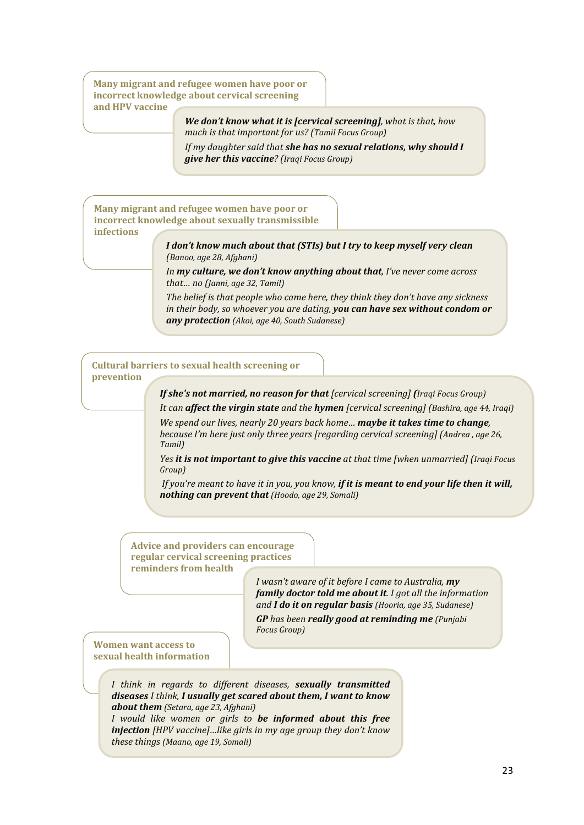**Many migrant and refugee women have poor or incorrect knowledge about cervical screening and HPV vaccine**

> *We don't know what it is [cervical screening], what is that, how much is that important for us? (Tamil Focus Group)*

*If my daughter said that she has no sexual relations, why should I give her this vaccine? (Iraqi Focus Group)*

**Many migrant and refugee women have poor or incorrect knowledge about sexually transmissible infections**

> *I don't know much about that (STIs) but I try to keep myself very clean (Banoo, age 28, Afghani)*

*In my culture, we don't know anything about that, I've never come across that… no (Janni, age 32, Tamil)*

*The belief is that people who came here, they think they don't have any sickness in their body, so whoever you are dating, you can have sex without condom or any protection (Akoi, age 40, South Sudanese)*

**Cultural barriers to sexual health screening or prevention**

*If she's not married, no reason for that [cervical screening] (Iraqi Focus Group)*

*It can affect the virgin state and the hymen [cervical screening] (Bashira, age 44, Iraqi)*

*We spend our lives, nearly 20 years back home… maybe it takes time to change, because I'm here just only three years [regarding cervical screening] (Andrea , age 26, Tamil)*

*Yes it is not important to give this vaccine at that time [when unmarried] (Iraqi Focus Group)*

*If you're meant to have it in you, you know, if it is meant to end your life then it will, nothing can prevent that (Hoodo, age 29, Somali)*

**Advice and providers can encourage regular cervical screening practices reminders from health** 

> *I wasn't aware of it before I came to Australia, my family doctor told me about it. I got all the information and I do it on regular basis (Hooria, age 35, Sudanese) GP has been really good at reminding me (Punjabi Focus Group)*

**Women want access to sexual health information**

> *I think in regards to different diseases, sexually transmitted diseases I think, I usually get scared about them, I want to know about them (Setara, age 23, Afghani)*

> *I would like women or girls to be informed about this free injection [HPV vaccine]…like girls in my age group they don't know these things (Maano, age 19, Somali)*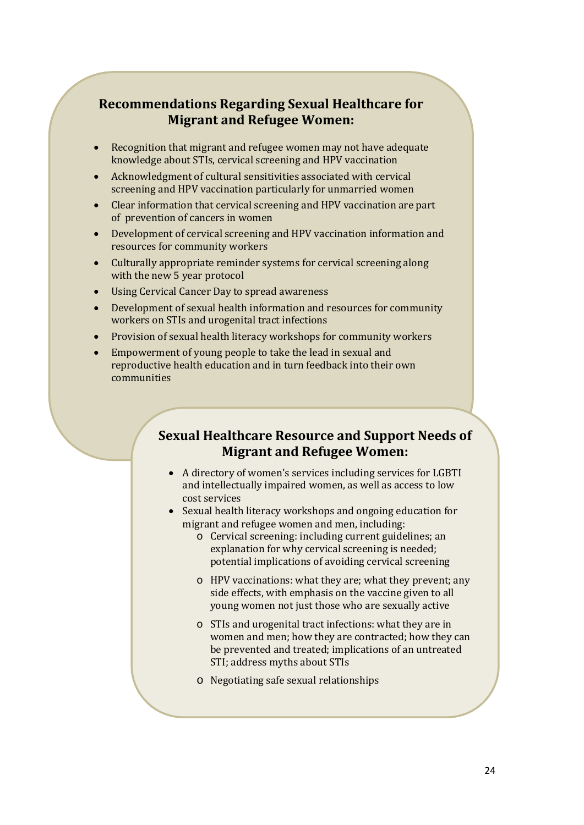# **Recommendations Regarding Sexual Healthcare for Migrant and Refugee Women:**

- Recognition that migrant and refugee women may not have adequate knowledge about STIs, cervical screening and HPV vaccination
- Acknowledgment of cultural sensitivities associated with cervical screening and HPV vaccination particularly for unmarried women
- Clear information that cervical screening and HPV vaccination are part of prevention of cancers in women
- Development of cervical screening and HPV vaccination information and resources for community workers
- Culturally appropriate reminder systems for cervical screening along with the new 5 year protocol
- Using Cervical Cancer Day to spread awareness
- Development of sexual health information and resources for community workers on STIs and urogenital tract infections
- Provision of sexual health literacy workshops for community workers
- Empowerment of young people to take the lead in sexual and reproductive health education and in turn feedback into their own communities

# **Sexual Healthcare Resource and Support Needs of Migrant and Refugee Women:**

- A directory of women's services including services for LGBTI and intellectually impaired women, as well as access to low cost services
- Sexual health literacy workshops and ongoing education for migrant and refugee women and men, including:
	- o Cervical screening: including current guidelines; an explanation for why cervical screening is needed; potential implications of avoiding cervical screening
	- o HPV vaccinations: what they are; what they prevent; any side effects, with emphasis on the vaccine given to all young women not just those who are sexually active
	- o STIs and urogenital tract infections: what they are in women and men; how they are contracted; how they can be prevented and treated; implications of an untreated STI; address myths about STIs
	- o Negotiating safe sexual relationships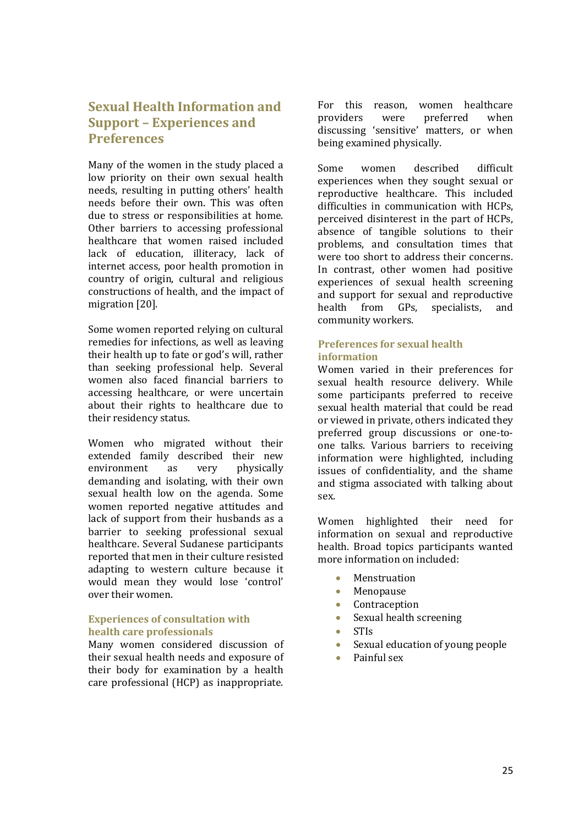# <span id="page-26-0"></span>**Sexual Health Information and Support – Experiences and Preferences**

Many of the women in the study placed a low priority on their own sexual health needs, resulting in putting others' health needs before their own. This was often due to stress or responsibilities at home. Other barriers to accessing professional healthcare that women raised included lack of education, illiteracy, lack of internet access, poor health promotion in country of origin, cultural and religious constructions of health, and the impact of migration [20].

Some women reported relying on cultural remedies for infections, as well as leaving their health up to fate or god's will, rather than seeking professional help. Several women also faced financial barriers to accessing healthcare, or were uncertain about their rights to healthcare due to their residency status.

Women who migrated without their extended family described their new<br>environment as very physically physically demanding and isolating, with their own sexual health low on the agenda. Some women reported negative attitudes and lack of support from their husbands as a barrier to seeking professional sexual healthcare. Several Sudanese participants reported that men in their culture resisted adapting to western culture because it would mean they would lose 'control' over their women.

### <span id="page-26-1"></span>**Experiences of consultation with health care professionals**

Many women considered discussion of their sexual health needs and exposure of their body for examination by a health care professional (HCP) as inappropriate.

For this reason, women healthcare<br>providers were preferred when providers were preferred when discussing 'sensitive' matters, or when being examined physically.

Some women described difficult experiences when they sought sexual or reproductive healthcare. This included difficulties in communication with HCPs, perceived disinterest in the part of HCPs, absence of tangible solutions to their problems, and consultation times that were too short to address their concerns. In contrast, other women had positive experiences of sexual health screening and support for sexual and reproductive<br>health from GPs, specialists, and health from GPs. community workers.

### <span id="page-26-2"></span>**Preferences for sexual health information**

Women varied in their preferences for sexual health resource delivery. While some participants preferred to receive sexual health material that could be read or viewed in private, others indicated they preferred group discussions or one-toone talks. Various barriers to receiving information were highlighted, including issues of confidentiality, and the shame and stigma associated with talking about sex.

Women highlighted their need for information on sexual and reproductive health. Broad topics participants wanted more information on included:

- **Menstruation**
- **Menopause**
- Contraception<br>• Sexual health s
- Sexual health screening
- STIs
- Sexual education of young people
- Painful sex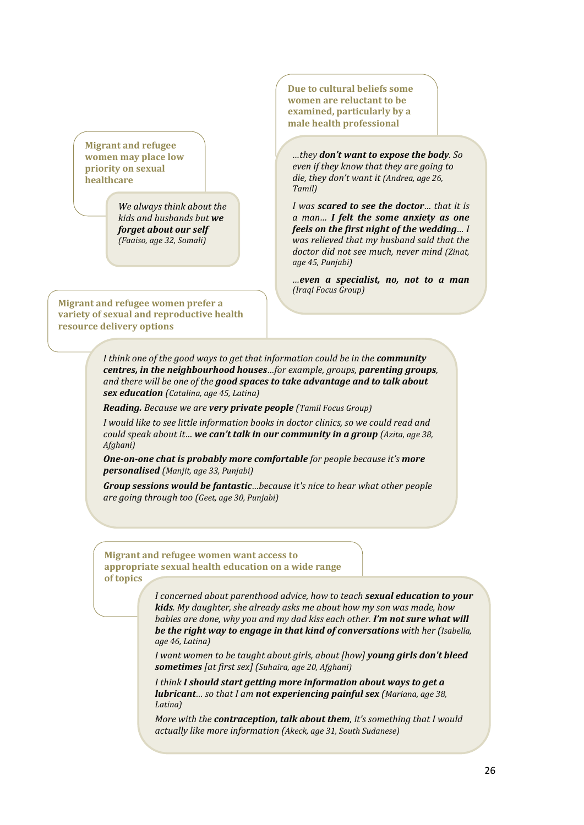**Migrant and refugee women may place low priority on sexual healthcare**

> *We always think about the kids and husbands but we forget about our self (Faaiso, age 32, Somali)*

**Migrant and refugee women prefer a variety of sexual and reproductive health resource delivery options**

**Due to cultural beliefs some women are reluctant to be examined, particularly by a male health professional**

*…they don't want to expose the body. So even if they know that they are going to die, they don't want it (Andrea, age 26, Tamil)*

*I was scared to see the doctor… that it is a man… I felt the some anxiety as one feels on the first night of the wedding… I was relieved that my husband said that the doctor did not see much, never mind (Zinat, age 45, Punjabi)*

*…even a specialist, no, not to a man (Iraqi Focus Group)*

*I think one of the good ways to get that information could be in the <i>community centres, in the neighbourhood houses…for example, groups, parenting groups, and there will be one of the good spaces to take advantage and to talk about sex education (Catalina, age 45, Latina)*

*Reading. Because we are very private people (Tamil Focus Group)*

*I would like to see little information books in doctor clinics, so we could read and could speak about it… we can't talk in our community in a group (Azita, age 38, Afghani)*

*One-on-one chat is probably more comfortable for people because it's more personalised (Manjit, age 33, Punjabi)*

*Group sessions would be fantastic…because it's nice to hear what other people are going through too (Geet, age 30, Punjabi)*

**Migrant and refugee women want access to appropriate sexual health education on a wide range of topics**

> *I concerned about parenthood advice, how to teach sexual education to your kids. My daughter, she already asks me about how my son was made, how babies are done, why you and my dad kiss each other. I'm not sure what will be the right way to engage in that kind of conversations with her (Isabella, age 46, Latina)*

*I want women to be taught about girls, about [how] young girls don't bleed sometimes [at first sex] (Suhaira, age 20, Afghani)*

*I think I should start getting more information about ways to get a lubricant… so that I am not experiencing painful sex (Mariana, age 38, Latina)*

*More with the contraception, talk about them, it's something that I would actually like more information (Akeck, age 31, South Sudanese)*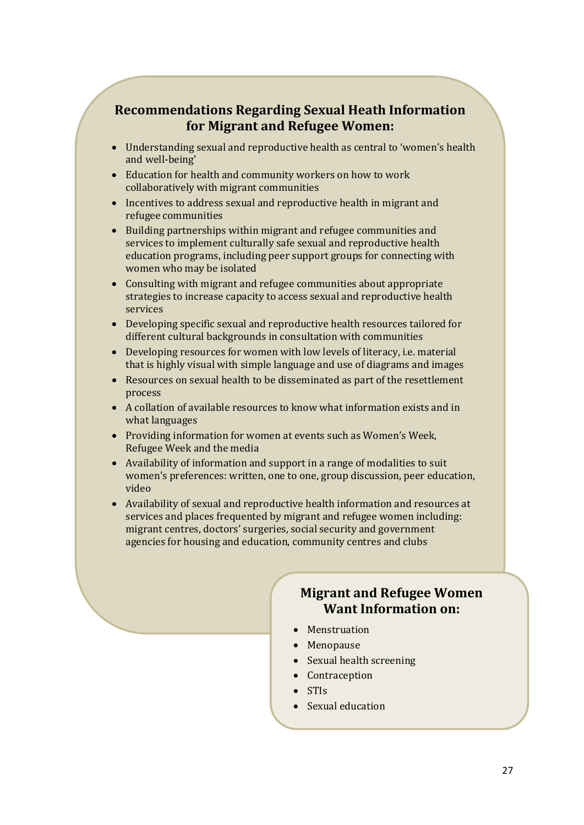# **Recommendations Regarding Sexual Heath Information for Migrant and Refugee Women:**

- Understanding sexual and reproductive health as central to 'women's health and well-being'
- Education for health and community workers on how to work collaboratively with migrant communities
- Incentives to address sexual and reproductive health in migrant and refugee communities
- Building partnerships within migrant and refugee communities and services to implement culturally safe sexual and reproductive health education programs, including peer support groups for connecting with women who may be isolated
- Consulting with migrant and refugee communities about appropriate strategies to increase capacity to access sexual and reproductive health services
- Developing specific sexual and reproductive health resources tailored for different cultural backgrounds in consultation with communities
- Developing resources for women with low levels of literacy, i.e. material that is highly visual with simple language and use of diagrams and images
- Resources on sexual health to be disseminated as part of the resettlement process
- A collation of available resources to know what information exists and in what languages
- Providing information for women at events such as Women's Week, Refugee Week and the media
- Availability of information and support in a range of modalities to suit women's preferences: written, one to one, group discussion, peer education, video
- Availability of sexual and reproductive health information and resources at services and places frequented by migrant and refugee women including: migrant centres, doctors' surgeries, social security and government agencies for housing and education, community centres and clubs

## **Migrant and Refugee Women Want Information on:**

- Menstruation
- Menopause
- Sexual health screening
- Contraception
- STIs
- Sexual education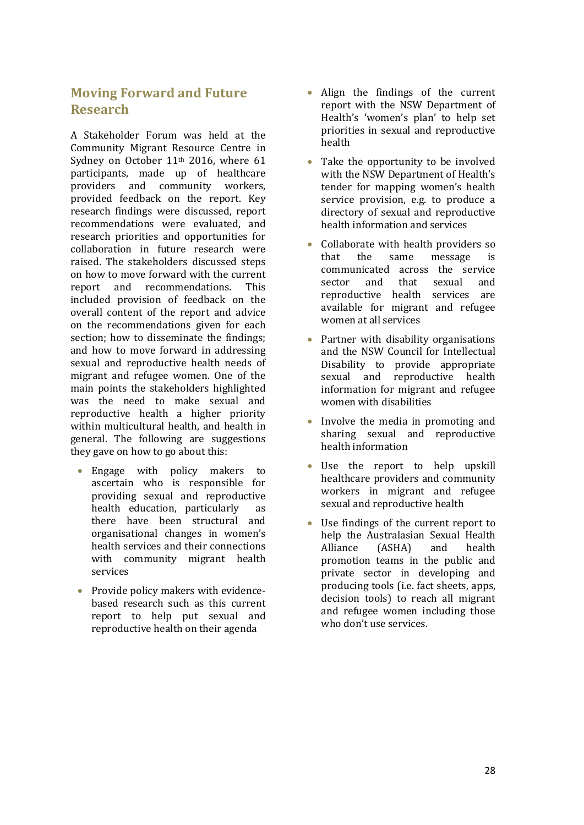# <span id="page-29-0"></span>**Moving Forward and Future Research**

A Stakeholder Forum was held at the Community Migrant Resource Centre in Sydney on October 11<sup>th</sup> 2016, where 61 participants, made up of healthcare providers and community workers, provided feedback on the report. Key research findings were discussed, report recommendations were evaluated, and research priorities and opportunities for collaboration in future research were raised. The stakeholders discussed steps on how to move forward with the current<br>report and recommendations. This recommendations. included provision of feedback on the overall content of the report and advice on the recommendations given for each section; how to disseminate the findings; and how to move forward in addressing sexual and reproductive health needs of migrant and refugee women. One of the main points the stakeholders highlighted was the need to make sexual and reproductive health a higher priority within multicultural health, and health in general. The following are suggestions they gave on how to go about this:

- Engage with policy makers to ascertain who is responsible for providing sexual and reproductive<br>health education, particularly as health education, particularly there have been structural and organisational changes in women's health services and their connections with community migrant health services
- Provide policy makers with evidencebased research such as this current report to help put sexual and reproductive health on their agenda
- Align the findings of the current report with the NSW Department of Health's 'women's plan' to help set priorities in sexual and reproductive health
- Take the opportunity to be involved with the NSW Department of Health's tender for mapping women's health service provision, e.g. to produce a directory of sexual and reproductive health information and services
- Collaborate with health providers so<br>that the same message is that the same message is communicated across the service sector and that sexual and reproductive health services are available for migrant and refugee women at all services
- Partner with disability organisations and the NSW Council for Intellectual Disability to provide appropriate sexual and reproductive health information for migrant and refugee women with disabilities
- Involve the media in promoting and sharing sexual and reproductive health information
- Use the report to help upskill healthcare providers and community workers in migrant and refugee sexual and reproductive health
- Use findings of the current report to help the Australasian Sexual Health<br>Alliance (ASHA) and health Alliance (ASHA) and health promotion teams in the public and private sector in developing and producing tools (i.e. fact sheets, apps, decision tools) to reach all migrant and refugee women including those who don't use services.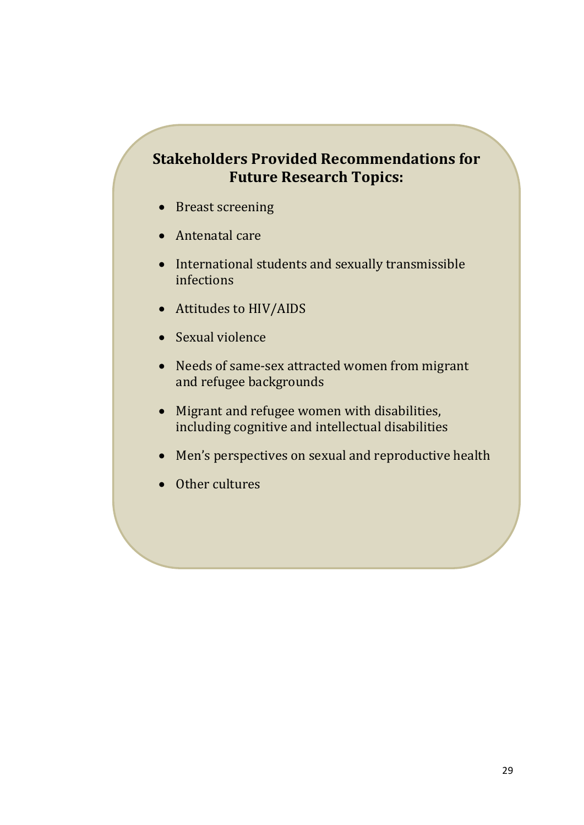# **Stakeholders Provided Recommendations for Future Research Topics:**

- Breast screening
- Antenatal care
- International students and sexually transmissible infections
- Attitudes to HIV/AIDS
- Sexual violence
- Needs of same-sex attracted women from migrant and refugee backgrounds
- Migrant and refugee women with disabilities, including cognitive and intellectual disabilities
- Men's perspectives on sexual and reproductive health
- Other cultures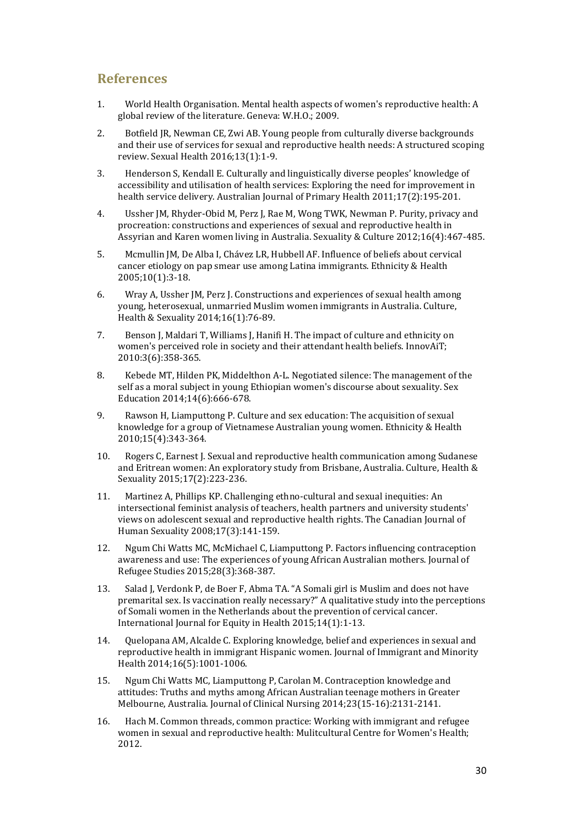### <span id="page-31-0"></span>**References**

- 1. World Health Organisation. Mental health aspects of women's reproductive health: A global review of the literature. Geneva: W.H.O.; 2009.
- 2. Botfield JR, Newman CE, Zwi AB. Young people from culturally diverse backgrounds and their use of services for sexual and reproductive health needs: A structured scoping review. Sexual Health 2016;13(1):1-9.
- 3. Henderson S, Kendall E. Culturally and linguistically diverse peoples' knowledge of accessibility and utilisation of health services: Exploring the need for improvement in health service delivery. Australian Journal of Primary Health 2011;17(2):195-201.
- 4. Ussher JM, Rhyder-Obid M, Perz J, Rae M, Wong TWK, Newman P. Purity, privacy and procreation: constructions and experiences of sexual and reproductive health in Assyrian and Karen women living in Australia. Sexuality & Culture 2012;16(4):467-485.
- 5. Mcmullin JM, De Alba I, Chávez LR, Hubbell AF. Influence of beliefs about cervical cancer etiology on pap smear use among Latina immigrants. Ethnicity & Health 2005;10(1):3-18.
- 6. Wray A, Ussher JM, Perz J. Constructions and experiences of sexual health among young, heterosexual, unmarried Muslim women immigrants in Australia. Culture, Health & Sexuality 2014;16(1):76-89.
- 7. Benson J, Maldari T, Williams J, Hanifi H. The impact of culture and ethnicity on women's perceived role in society and their attendant health beliefs. InnovAiT; 2010:3(6):358-365.
- 8. Kebede MT, Hilden PK, Middelthon A-L. Negotiated silence: The management of the self as a moral subject in young Ethiopian women's discourse about sexuality. Sex Education 2014;14(6):666-678.
- 9. Rawson H, Liamputtong P. Culture and sex education: The acquisition of sexual knowledge for a group of Vietnamese Australian young women. Ethnicity & Health 2010;15(4):343-364.
- 10. Rogers C, Earnest J. Sexual and reproductive health communication among Sudanese and Eritrean women: An exploratory study from Brisbane, Australia. Culture, Health & Sexuality 2015;17(2):223-236.
- 11. Martinez A, Phillips KP. Challenging ethno-cultural and sexual inequities: An intersectional feminist analysis of teachers, health partners and university students' views on adolescent sexual and reproductive health rights. The Canadian Journal of Human Sexuality 2008;17(3):141-159.
- 12. Ngum Chi Watts MC, McMichael C, Liamputtong P. Factors influencing contraception awareness and use: The experiences of young African Australian mothers. Journal of Refugee Studies 2015;28(3):368-387.
- 13. Salad J, Verdonk P, de Boer F, Abma TA. "A Somali girl is Muslim and does not have premarital sex. Is vaccination really necessary?" A qualitative study into the perceptions of Somali women in the Netherlands about the prevention of cervical cancer. International Journal for Equity in Health 2015;14(1):1-13.
- 14. Quelopana AM, Alcalde C. Exploring knowledge, belief and experiences in sexual and reproductive health in immigrant Hispanic women. Journal of Immigrant and Minority Health 2014;16(5):1001-1006.
- 15. Ngum Chi Watts MC, Liamputtong P, Carolan M. Contraception knowledge and attitudes: Truths and myths among African Australian teenage mothers in Greater Melbourne, Australia. Journal of Clinical Nursing 2014;23(15-16):2131-2141.
- 16. Hach M. Common threads, common practice: Working with immigrant and refugee women in sexual and reproductive health: Mulitcultural Centre for Women's Health; 2012.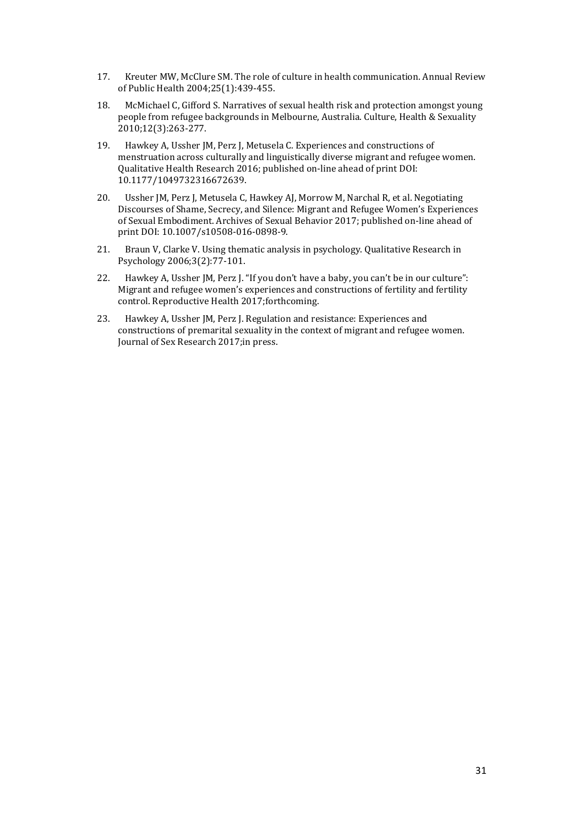- 17. Kreuter MW, McClure SM. The role of culture in health communication. Annual Review of Public Health 2004;25(1):439-455.
- 18. McMichael C, Gifford S. Narratives of sexual health risk and protection amongst young people from refugee backgrounds in Melbourne, Australia. Culture, Health & Sexuality 2010;12(3):263-277.
- 19. Hawkey A, Ussher JM, Perz J, Metusela C. Experiences and constructions of menstruation across culturally and linguistically diverse migrant and refugee women. Qualitative Health Research 2016; published on-line ahead of print DOI: 10.1177/1049732316672639.
- 20. Ussher JM, Perz J, Metusela C, Hawkey AJ, Morrow M, Narchal R, et al. Negotiating Discourses of Shame, Secrecy, and Silence: Migrant and Refugee Women's Experiences of Sexual Embodiment. Archives of Sexual Behavior 2017; published on-line ahead of print DOI: 10.1007/s10508-016-0898-9.
- 21. Braun V, Clarke V. Using thematic analysis in psychology. Qualitative Research in Psychology 2006;3(2):77-101.
- 22. Hawkey A, Ussher JM, Perz J. "If you don't have a baby, you can't be in our culture": Migrant and refugee women's experiences and constructions of fertility and fertility control. Reproductive Health 2017;forthcoming.
- 23. Hawkey A, Ussher JM, Perz J, Regulation and resistance: Experiences and constructions of premarital sexuality in the context of migrant and refugee women. Journal of Sex Research 2017;in press.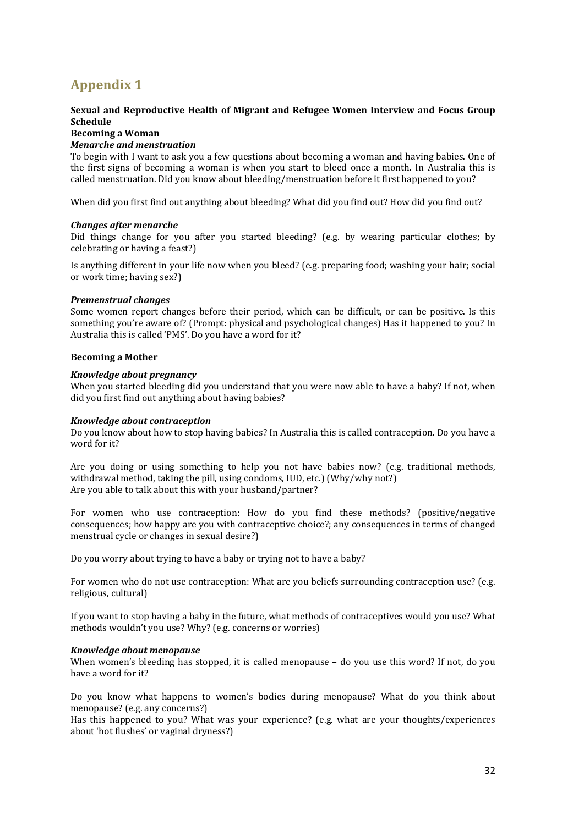# <span id="page-33-0"></span>**Appendix 1**

### **Sexual and Reproductive Health of Migrant and Refugee Women Interview and Focus Group Schedule**

#### **Becoming a Woman**

### *Menarche and menstruation*

To begin with I want to ask you a few questions about becoming a woman and having babies. One of the first signs of becoming a woman is when you start to bleed once a month. In Australia this is called menstruation. Did you know about bleeding/menstruation before it first happened to you?

When did you first find out anything about bleeding? What did you find out? How did you find out?

#### *Changes after menarche*

Did things change for you after you started bleeding? (e.g. by wearing particular clothes; by celebrating or having a feast?)

Is anything different in your life now when you bleed? (e.g. preparing food; washing your hair; social or work time; having sex?)

#### *Premenstrual changes*

Some women report changes before their period, which can be difficult, or can be positive. Is this something you're aware of? (Prompt: physical and psychological changes) Has it happened to you? In Australia this is called 'PMS'. Do you have a word for it?

#### **Becoming a Mother**

#### *Knowledge about pregnancy*

When you started bleeding did you understand that you were now able to have a baby? If not, when did you first find out anything about having babies?

#### *Knowledge about contraception*

Do you know about how to stop having babies? In Australia this is called contraception. Do you have a word for it?

Are you doing or using something to help you not have babies now? (e.g. traditional methods, withdrawal method, taking the pill, using condoms, IUD, etc.) (Why/why not?) Are you able to talk about this with your husband/partner?

For women who use contraception: How do you find these methods? (positive/negative consequences; how happy are you with contraceptive choice?; any consequences in terms of changed menstrual cycle or changes in sexual desire?)

Do you worry about trying to have a baby or trying not to have a baby?

For women who do not use contraception: What are you beliefs surrounding contraception use? (e.g. religious, cultural)

If you want to stop having a baby in the future, what methods of contraceptives would you use? What methods wouldn't you use? Why? (e.g. concerns or worries)

#### *Knowledge about menopause*

When women's bleeding has stopped, it is called menopause – do you use this word? If not, do you have a word for it?

Do you know what happens to women's bodies during menopause? What do you think about menopause? (e.g. any concerns?)

Has this happened to you? What was your experience? (e.g. what are your thoughts/experiences about 'hot flushes' or vaginal dryness?)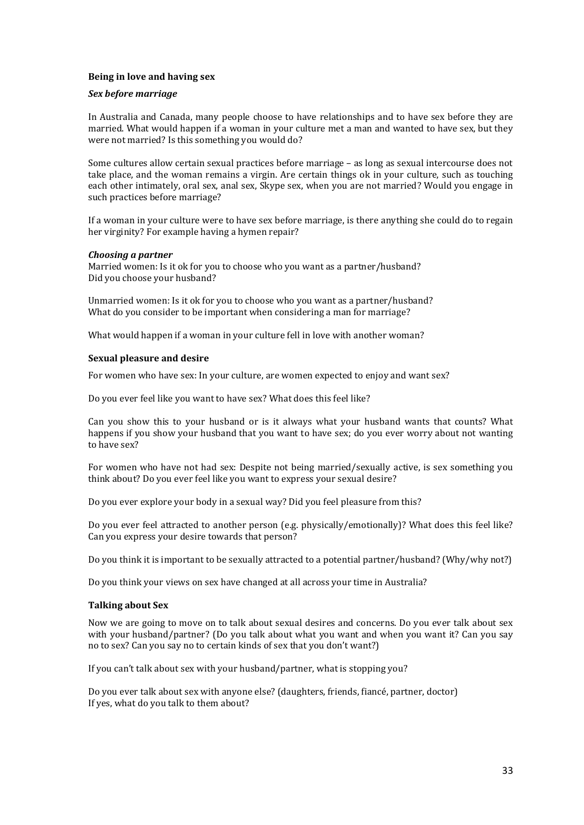### **Being in love and having sex**

#### *Sex before marriage*

In Australia and Canada, many people choose to have relationships and to have sex before they are married. What would happen if a woman in your culture met a man and wanted to have sex, but they were not married? Is this something you would do?

Some cultures allow certain sexual practices before marriage – as long as sexual intercourse does not take place, and the woman remains a virgin. Are certain things ok in your culture, such as touching each other intimately, oral sex, anal sex, Skype sex, when you are not married? Would you engage in such practices before marriage?

If a woman in your culture were to have sex before marriage, is there anything she could do to regain her virginity? For example having a hymen repair?

### *Choosing a partner*

Married women: Is it ok for you to choose who you want as a partner/husband? Did you choose your husband?

Unmarried women: Is it ok for you to choose who you want as a partner/husband? What do you consider to be important when considering a man for marriage?

What would happen if a woman in your culture fell in love with another woman?

### **Sexual pleasure and desire**

For women who have sex: In your culture, are women expected to enjoy and want sex?

Do you ever feel like you want to have sex? What does this feel like?

Can you show this to your husband or is it always what your husband wants that counts? What happens if you show your husband that you want to have sex; do you ever worry about not wanting to have sex?

For women who have not had sex: Despite not being married/sexually active, is sex something you think about? Do you ever feel like you want to express your sexual desire?

Do you ever explore your body in a sexual way? Did you feel pleasure from this?

Do you ever feel attracted to another person (e.g. physically/emotionally)? What does this feel like? Can you express your desire towards that person?

Do you think it is important to be sexually attracted to a potential partner/husband? (Why/why not?)

Do you think your views on sex have changed at all across your time in Australia?

#### **Talking about Sex**

Now we are going to move on to talk about sexual desires and concerns. Do you ever talk about sex with your husband/partner? (Do you talk about what you want and when you want it? Can you say no to sex? Can you say no to certain kinds of sex that you don't want?)

If you can't talk about sex with your husband/partner, what is stopping you?

Do you ever talk about sex with anyone else? (daughters, friends, fiancé, partner, doctor) If yes, what do you talk to them about?